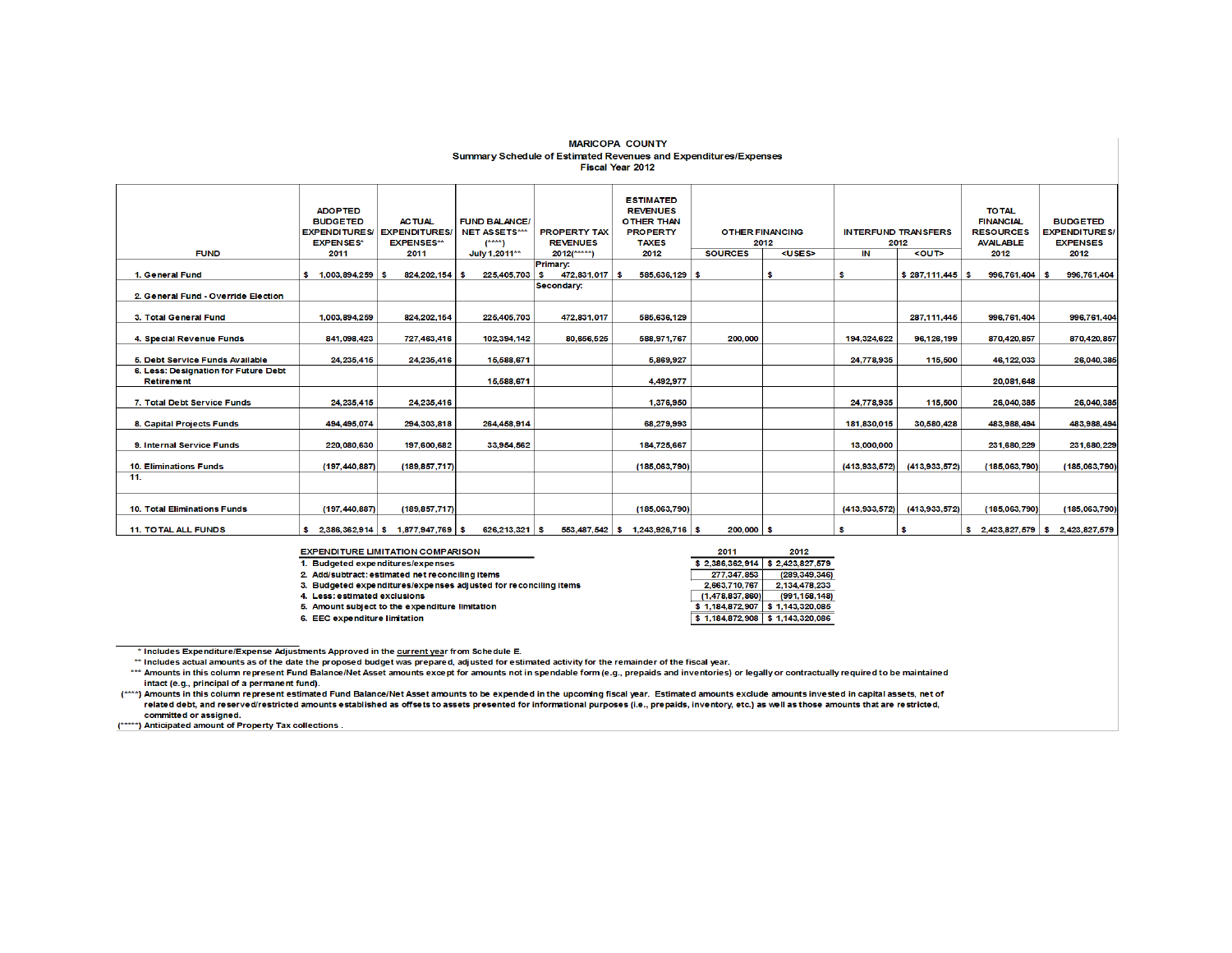#### **MARICOPA COUNTY** Summary Schedule of Estimated Revenues and Expenditures/Expenses Fiscal Year 2012

| <b>FUND</b>                                               | <b>ADOPTED</b><br><b>BUDGETED</b><br><b>EXPENDITURES/</b><br><b>EXPENSES*</b><br>2011 | <b>ACTUAL</b><br><b>EXPENDITURES</b><br><b>EXPENSES**</b><br>2011 | <b>FUND BALANCE/</b><br><b>NET ASSETS***</b><br>$(***)$<br>July 1.2011** | <b>PROPERTY TAX</b><br><b>REVENUES</b><br>$2012$ (*****) | <b>ESTIMATED</b><br><b>REVENUES</b><br><b>OTHER THAN</b><br><b>PROPERTY</b><br><b>TAXES</b><br>2012 | <b>OTHER FINANCING</b><br>2012<br><b>SOURCES</b><br><uses></uses> |    | IN            | <b>INTERFUND TRANSFERS</b><br>2012<br><out></out> | <b>TO TAL</b><br><b>FINANCIAL</b><br><b>RESOURCES</b><br><b>AVAILABLE</b><br>2012 | <b>BUDGETED</b><br><b>EXPENDITURES/</b><br><b>EXPENSES</b><br>2012 |
|-----------------------------------------------------------|---------------------------------------------------------------------------------------|-------------------------------------------------------------------|--------------------------------------------------------------------------|----------------------------------------------------------|-----------------------------------------------------------------------------------------------------|-------------------------------------------------------------------|----|---------------|---------------------------------------------------|-----------------------------------------------------------------------------------|--------------------------------------------------------------------|
|                                                           |                                                                                       |                                                                   |                                                                          | <b>Primary:</b>                                          |                                                                                                     |                                                                   |    |               |                                                   |                                                                                   |                                                                    |
| 1. General Fund                                           | $1,003,894,259$ \$                                                                    | 824, 202, 154 \$                                                  | 225,405,703                                                              | 472,831,017 \$<br>s                                      | 585,636,129 \$                                                                                      |                                                                   | \$ | ŝ             | $$287,111,445$ \$                                 | 996,761,404 \$                                                                    | 996.761.404                                                        |
| 2. General Fund - Override Election                       |                                                                                       |                                                                   |                                                                          | Secondary:                                               |                                                                                                     |                                                                   |    |               |                                                   |                                                                                   |                                                                    |
| 3. Total General Fund                                     | 1,003,894,259                                                                         | 824,202,154                                                       | 225,405,703                                                              | 472,831,017                                              | 585,636,129                                                                                         |                                                                   |    |               | 287,111,445                                       | 996,761,404                                                                       | 996,761,404                                                        |
| 4. Special Revenue Funds                                  | 841.098.423                                                                           | 727,463,416                                                       | 102.394.142                                                              | 80,656,525                                               | 588,971,767                                                                                         | 200,000                                                           |    | 194,324,622   | 96.126.199                                        | 870,420,857                                                                       | 870.420,857                                                        |
| 5. Debt Service Funds Available                           | 24, 235, 415                                                                          | 24,235,416                                                        | 15,588,671                                                               |                                                          | 5,869,927                                                                                           |                                                                   |    | 24,778,935    | 115,500                                           | 46, 122, 033                                                                      | 26,040,385                                                         |
| 6. Less: Designation for Future Debt<br><b>Retirement</b> |                                                                                       |                                                                   | 15,588,671                                                               |                                                          | 4.492.977                                                                                           |                                                                   |    |               |                                                   | 20,081,648                                                                        |                                                                    |
| 7. Total Debt Service Funds                               | 24, 235, 415                                                                          | 24,235,416                                                        |                                                                          |                                                          | 1,376,950                                                                                           |                                                                   |    | 24.778.935    | 115,500                                           | 26,040,385                                                                        | 26,040,385                                                         |
| 8. Capital Projects Funds                                 | 494, 495, 074                                                                         | 294,303,818                                                       | 264.458.914                                                              |                                                          | 68,279,993                                                                                          |                                                                   |    | 181,830,015   | 30,580,428                                        | 483,988,494                                                                       | 483,988,494                                                        |
| 9. Internal Service Funds                                 | 220.080.630                                                                           | 197.600.682                                                       | 33,954.562                                                               |                                                          | 184.725.667                                                                                         |                                                                   |    | 13,000,000    |                                                   | 231.680.229                                                                       | 231.680.229                                                        |
| <b>10. Eliminations Funds</b>                             | (197, 440, 887)                                                                       | (189.857.717)                                                     |                                                                          |                                                          | (185,063,790)                                                                                       |                                                                   |    | (413,933,572) | (413,933,572)                                     | (185,063,790)                                                                     | (185,063,790)                                                      |
| 11.                                                       |                                                                                       |                                                                   |                                                                          |                                                          |                                                                                                     |                                                                   |    |               |                                                   |                                                                                   |                                                                    |
| 10. Total Eliminations Funds                              | (197, 440, 887)                                                                       | (189.857.717)                                                     |                                                                          |                                                          | (185,063,790)                                                                                       |                                                                   |    | (413,933,572) | (413,933,572)                                     | (185,063,790)                                                                     | (185,063,790)                                                      |
| <b>11. TO TAL ALL FUNDS</b>                               |                                                                                       | $$2,386,362,914 \mid $1,877,947,769 \mid $$                       | 626,213,321 \$                                                           |                                                          | $553,487,542$ \$ 1,243,926,716 \$                                                                   | 200,000 \$                                                        |    | S             | ŝ                                                 |                                                                                   | $$2,423,827,579$ $$2,423,827,579$                                  |

**EXPENDITURE LIMITATION COMPARISON** 

1. Budgeted expenditures/expenses

2. Add/subtract: estimated net reconciling items

3. Budgeted expenditures/expenses adjusted for reconciling items

4. Less: estimated exclusions

5. Amount subject to the expenditure limitation

6. EEC expenditure limitation

 $$2,386,362,914$   $$2,423,827,579$ 277,347,853 (289,349,346)  $\begin{array}{c|c|c|c|c} \hline 2,683,710,767 & 234,478,233 \\ \hline 2,683,710,767 & 2,134,478,233 \\ \hline (1,478,837,860) & (991,158,148) \\ \hline $3,1,184,872,907 & 1,143,320,085 \end{array}$  $\frac{1}{2}$  1,184,872,908  $\frac{1}{2}$  1,143,320,086

2012

2011

\* Includes Expenditure/Expense Adjustments Approved in the current year from Schedule E.

\*\* Includes actual amounts as of the date the proposed budget was prepared, adjusted for estimated activity for the remainder of the fiscal year.

\*\*\* Amounts in this column represent Fund Balance/Net Asset amounts except for amounts not in spendable form (e.g., prepaids and inventories) or legally or contractually required to be maintained intact (e.g., principal of a permanent fund).

(\*\*\*\*) Amounts in this column represent estimated Fund Balance/Net Asset amounts to be expended in the upcoming fiscal year. Estimated amounts exclude amounts invested in capital assets, net of related debt, and reserved/restricted amounts established as offsets to assets presented for informational purposes (i.e., prepaids, inventory, etc.) as well as those amounts that are restricted, committed or assigned.

(\*\*\*\*\*) Anticipated amount of Property Tax collections.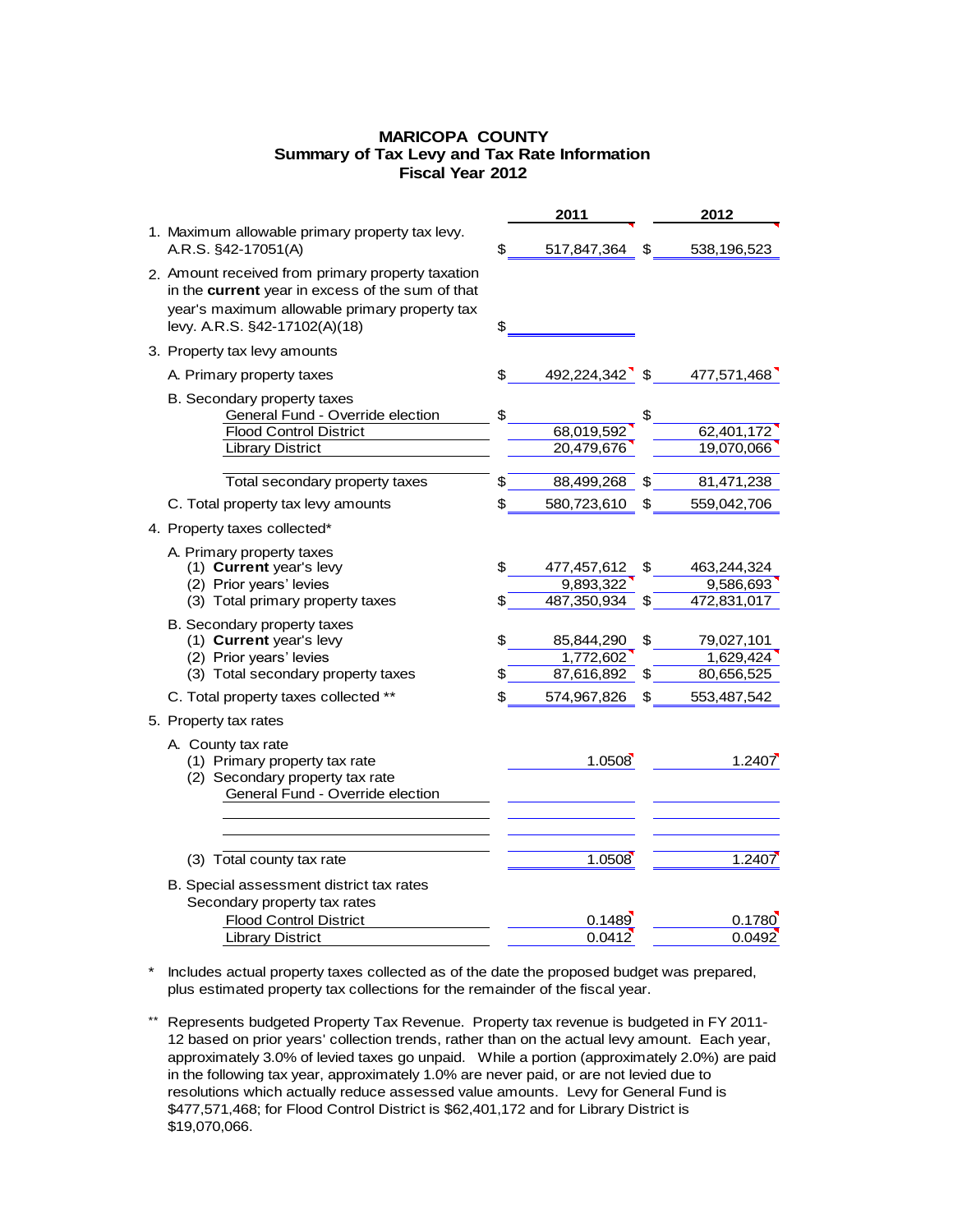## **MARICOPA COUNTY Fiscal Year 2012 Summary of Tax Levy and Tax Rate Information**

|                                                                                                                                                                                         |          | 2011                                    |          | 2012                                    |
|-----------------------------------------------------------------------------------------------------------------------------------------------------------------------------------------|----------|-----------------------------------------|----------|-----------------------------------------|
| 1. Maximum allowable primary property tax levy.<br>A.R.S. §42-17051(A)                                                                                                                  | \$       | 517,847,364                             | \$       | 538,196,523                             |
| 2. Amount received from primary property taxation<br>in the current year in excess of the sum of that<br>year's maximum allowable primary property tax<br>levy. A.R.S. §42-17102(A)(18) | \$       |                                         |          |                                         |
| 3. Property tax levy amounts                                                                                                                                                            |          |                                         |          |                                         |
| A. Primary property taxes                                                                                                                                                               | \$       | 492,224,342                             | \$       | 477,571,468                             |
| B. Secondary property taxes<br>General Fund - Override election<br><b>Flood Control District</b><br><b>Library District</b>                                                             | \$       | 68,019,592<br>20,479,676                | \$       | 62,401,172<br>19,070,066                |
| Total secondary property taxes                                                                                                                                                          | \$       | 88,499,268                              | \$       | 81,471,238                              |
| C. Total property tax levy amounts                                                                                                                                                      | \$       | 580,723,610                             | \$       | 559,042,706                             |
| 4. Property taxes collected*                                                                                                                                                            |          |                                         |          |                                         |
| A. Primary property taxes<br>(1) Current year's levy<br>(2) Prior years' levies<br>(3) Total primary property taxes                                                                     | \$<br>\$ | 477,457,612<br>9,893,322<br>487,350,934 | \$<br>S  | 463,244,324<br>9,586,693<br>472,831,017 |
| B. Secondary property taxes<br>(1) Current year's levy<br>(2) Prior years' levies<br>(3) Total secondary property taxes                                                                 | \$<br>\$ | 85,844,290<br>1,772,602<br>87,616,892   | \$<br>\$ | 79,027,101<br>1,629,424<br>80,656,525   |
| C. Total property taxes collected **                                                                                                                                                    | \$       | 574,967,826                             | \$       | 553,487,542                             |
| 5. Property tax rates                                                                                                                                                                   |          |                                         |          |                                         |
| A. County tax rate<br>(1) Primary property tax rate<br>(2) Secondary property tax rate<br>General Fund - Override election                                                              |          | 1.0508                                  |          | 1.2407                                  |
| (3) Total county tax rate                                                                                                                                                               |          | 1.0508                                  |          | 1.2407                                  |
| B. Special assessment district tax rates<br>Secondary property tax rates                                                                                                                |          |                                         |          |                                         |
| <b>Flood Control District</b><br><b>Library District</b>                                                                                                                                |          | 0.1489<br>0.0412                        |          | 0.1780<br>0.0492                        |
|                                                                                                                                                                                         |          |                                         |          |                                         |

\* Includes actual property taxes collected as of the date the proposed budget was prepared, \* \* \* plus estimated property tax collections for the remainder of the fiscal year.

\*\* Represents budgeted Property Tax Revenue. Property tax revenue is budgeted in FY 2011-12 based on prior years' collection trends, rather than on the actual levy amount. Each year, approximately 3.0% of levied taxes go unpaid. While a portion (approximately 2.0%) are paid in the following tax year, approximately 1.0% are never paid, or are not levied due to resolutions which actually reduce assessed value amounts. Levy for General Fund is \$477,571,468; for Flood Control District is \$62,401,172 and for Library District is \$19,070,066.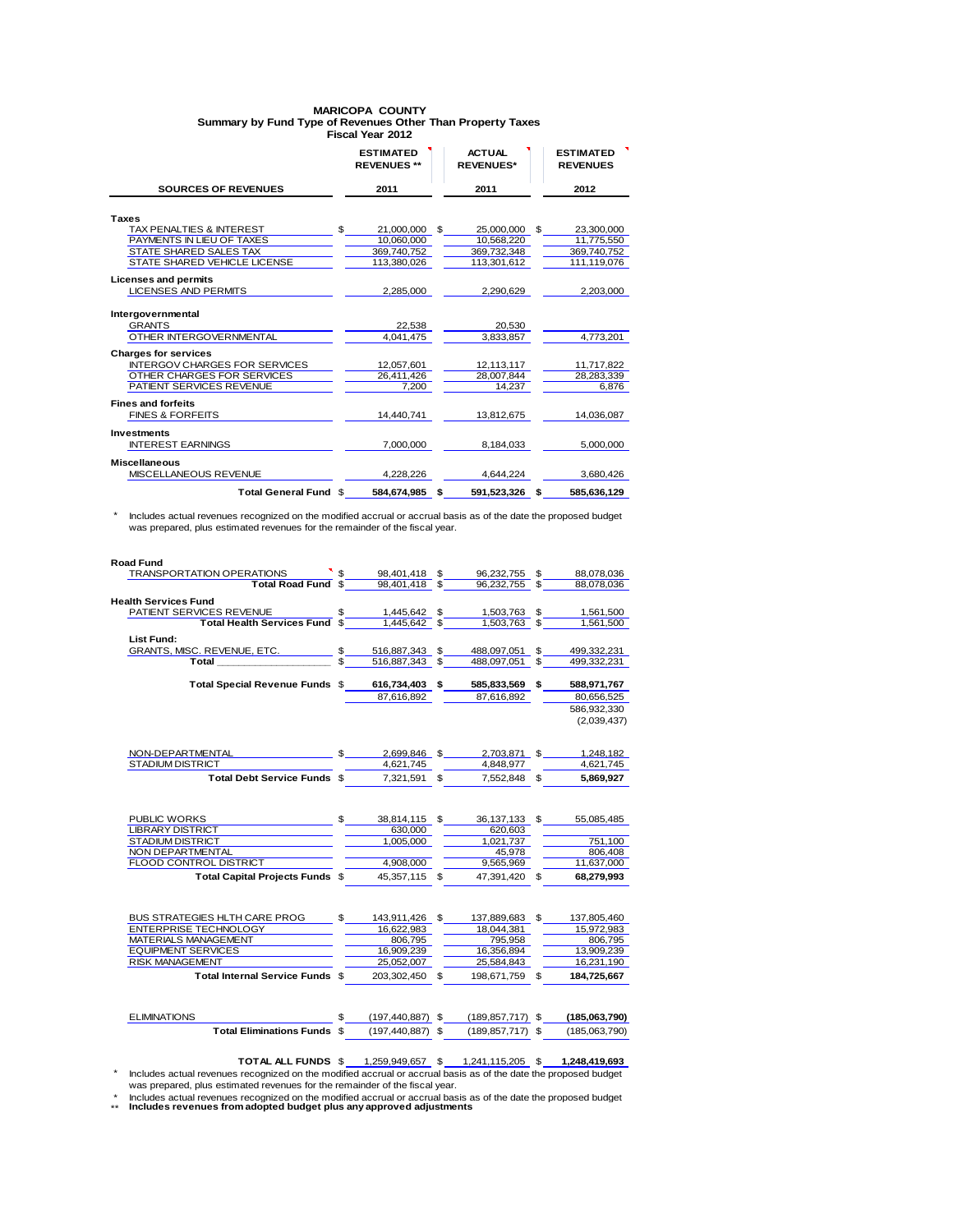### **Fiscal Year 2012 MARICOPA COUNTY Summary by Fund Type of Revenues Other Than Property Taxes**

|                                      | <b>ESTIMATED</b><br><b>REVENUES **</b> |                | <b>ACTUAL</b><br><b>REVENUES*</b> |     | <b>ESTIMATED</b><br><b>REVENUES</b> |
|--------------------------------------|----------------------------------------|----------------|-----------------------------------|-----|-------------------------------------|
| <b>SOURCES OF REVENUES</b>           | 2011                                   |                | 2011                              |     | 2012                                |
|                                      |                                        |                |                                   |     |                                     |
| <b>Taxes</b>                         |                                        |                |                                   |     |                                     |
| TAX PENALTIES & INTEREST             | \$<br>21,000,000                       | $\mathfrak{L}$ | 25,000,000                        | \$. | 23.300.000                          |
| PAYMENTS IN LIEU OF TAXES            | 10,060,000                             |                | 10,568,220                        |     | 11,775,550                          |
| STATE SHARED SALES TAX               | 369,740,752                            |                | 369,732,348                       |     | 369,740,752                         |
| STATE SHARED VEHICLE LICENSE         | 113,380,026                            |                | 113,301,612                       |     | 111,119,076                         |
| <b>Licenses and permits</b>          |                                        |                |                                   |     |                                     |
| <b>LICENSES AND PERMITS</b>          | 2,285,000                              |                | 2,290,629                         |     | 2,203,000                           |
|                                      |                                        |                |                                   |     |                                     |
| Intergovernmental                    |                                        |                |                                   |     |                                     |
| <b>GRANTS</b>                        | 22.538                                 |                | 20.530                            |     |                                     |
| OTHER INTERGOVERNMENTAL              | 4,041,475                              |                | 3,833,857                         |     | 4,773,201                           |
| <b>Charges for services</b>          |                                        |                |                                   |     |                                     |
| <b>INTERGOV CHARGES FOR SERVICES</b> | 12,057,601                             |                | 12,113,117                        |     | 11,717,822                          |
| OTHER CHARGES FOR SERVICES           | 26,411,426                             |                | 28.007.844                        |     | 28.283.339                          |
| PATIENT SERVICES REVENUE             | 7,200                                  |                | 14,237                            |     | 6.876                               |
| <b>Fines and forfeits</b>            |                                        |                |                                   |     |                                     |
| <b>FINES &amp; FORFEITS</b>          | 14,440,741                             |                |                                   |     | 14,036,087                          |
|                                      |                                        |                | 13,812,675                        |     |                                     |
| <b>Investments</b>                   |                                        |                |                                   |     |                                     |
| <b>INTEREST EARNINGS</b>             | 7.000.000                              |                | 8.184.033                         |     | 5.000.000                           |
| <b>Miscellaneous</b>                 |                                        |                |                                   |     |                                     |
| MISCELLANEOUS REVENUE                | 4,228,226                              |                | 4,644,224                         |     | 3,680,426                           |
|                                      |                                        |                |                                   |     |                                     |
| Total General Fund \$                | 584,674,985                            | \$             | 591,523,326                       | £.  | 585,636,129                         |

\* Includes actual revenues recognized on the modified accrual or accrual basis as of the date the proposed budget was prepared, plus estimated revenues for the remainder of the fiscal year.

| <b>Road Fund</b>                       |              |               |     |               |              |             |
|----------------------------------------|--------------|---------------|-----|---------------|--------------|-------------|
| TRANSPORTATION OPERATIONS              |              | 98,401,418 \$ |     | 96,232,755    | \$.          | 88,078,036  |
| Total Road Fund \$                     |              | 98.401.418 \$ |     | 96,232,755 \$ |              | 88,078,036  |
| <b>Health Services Fund</b>            |              |               |     |               |              |             |
| PATIENT SERVICES REVENUE               | \$           | 1,445,642 \$  |     | 1,503,763 \$  |              | 1,561,500   |
| <b>Total Health Services Fund</b>      |              | 1.445.642     |     | 1.503.763     | \$           | 1.561.500   |
| <b>List Fund:</b>                      |              |               |     |               |              |             |
| GRANTS, MISC. REVENUE, ETC.            | \$           | 516,887,343   | \$  | 488,097,051   | \$           | 499,332,231 |
| Total                                  |              | 516.887.343   | \$  | 488.097.051   | \$           | 499,332,231 |
|                                        |              |               |     |               |              |             |
| Total Special Revenue Funds \$         |              | 616,734,403   | \$  | 585,833,569   | \$           | 588,971,767 |
|                                        |              | 87,616,892    |     | 87,616,892    |              | 80,656,525  |
|                                        |              |               |     |               |              | 586,932,330 |
|                                        |              |               |     |               |              | (2,039,437) |
|                                        |              |               |     |               |              |             |
|                                        |              |               |     |               |              |             |
| NON-DEPARTMENTAL                       | $\mathbb{S}$ | 2.699.846 \$  |     | 2.703.871 \$  |              | 1.248.182   |
| STADIUM DISTRICT                       |              | 4,621,745     |     | 4,848,977     |              | 4,621,745   |
| <b>Total Debt Service Funds \$</b>     |              | 7.321.591 \$  |     | 7,552,848 \$  |              | 5,869,927   |
|                                        |              |               |     |               |              |             |
|                                        |              |               |     |               |              |             |
| PUBLIC WORKS                           | \$.          | 38,814,115 \$ |     | 36,137,133 \$ |              | 55,085,485  |
| <b>LIBRARY DISTRICT</b>                |              | 630.000       |     | 620,603       |              |             |
| <b>STADIUM DISTRICT</b>                |              | 1,005,000     |     | 1,021,737     |              | 751,100     |
| NON DEPARTMENTAL                       |              |               |     | 45,978        |              | 806,408     |
| FLOOD CONTROL DISTRICT                 |              | 4,908,000     |     | 9,565,969     |              | 11,637,000  |
| <b>Total Capital Projects Funds \$</b> |              | 45.357.115    | \$. | 47.391.420    | $\mathbf{s}$ | 68.279.993  |
|                                        |              |               |     |               |              |             |
|                                        |              |               |     |               |              |             |
| BUS STRATEGIES HLTH CARE PROG          | $\mathbb{S}$ | 143,911,426   | \$  | 137.889.683   | \$           | 137,805,460 |
| <b>ENTERPRISE TECHNOLOGY</b>           |              | 16.622.983    |     | 18,044,381    |              | 15,972,983  |
| MATERIALS MANAGEMENT                   |              | 806.795       |     | 795,958       |              | 806,795     |
| <b>EQUIPMENT SERVICES</b>              |              | 16.909.239    |     | 16,356,894    |              | 13,909,239  |
| <b>RISK MANAGEMENT</b>                 |              | 25.052.007    |     | 25.584.843    |              | 16,231,190  |

**Total Internal Service Funds** \$ 203,302,450 \$ 198,671,759 \$ **184,725,667**

| <b>ELIMINATIONS</b> |                             | $(197.440.887)$ \$   | $(189.857.717)$ \$   | (185,063,790) |
|---------------------|-----------------------------|----------------------|----------------------|---------------|
|                     | Total Eliminations Funds \$ | $(197, 440, 887)$ \$ | $(189, 857, 717)$ \$ | (185,063,790) |

**TOTAL ALL FUNDS**  $\frac{1,259,949,657}{1,241,115,205}$   $\frac{5}{1,248,419,693}$ <br>
\* Includes actual revenues recognized on the modified accrual or accrual basis as of the date the proposed budget<br>
was prepared, plus estimated re

\* Includes actual revenues recognized on the modified accrual or accrual basis as of the date the proposed budget<br>\*\* Includes revenues from adopted budget plus any approved adjustments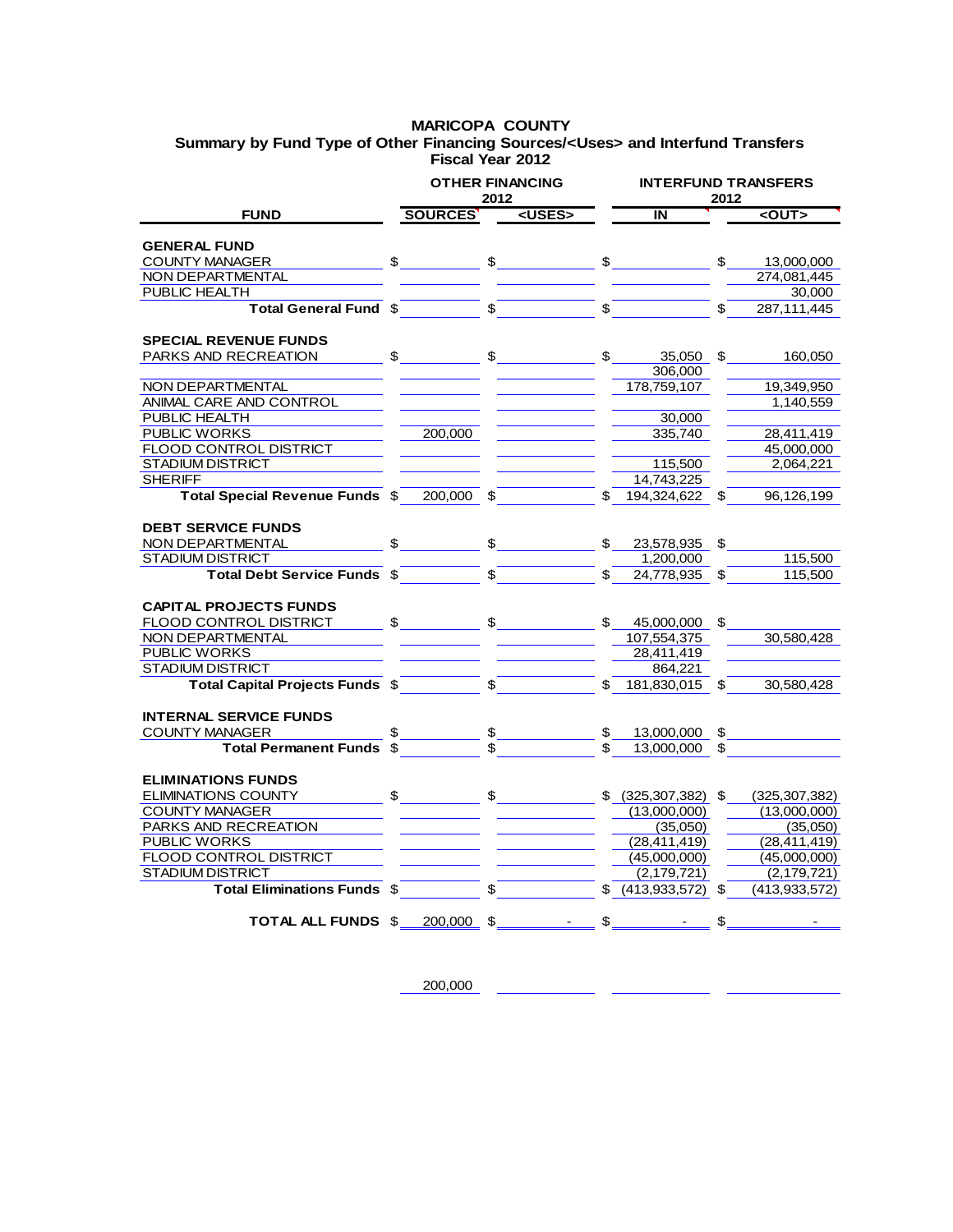## **MARICOPA COUNTY Fiscal Year 2012 Summary by Fund Type of Other Financing Sources/<Uses> and Interfund Transfers**

|                                        |              |                         | <b>OTHER FINANCING</b><br>2012                                                                                                                                                                                                                                                                                      |             | <b>INTERFUND TRANSFERS</b><br>2012 |    |                 |  |
|----------------------------------------|--------------|-------------------------|---------------------------------------------------------------------------------------------------------------------------------------------------------------------------------------------------------------------------------------------------------------------------------------------------------------------|-------------|------------------------------------|----|-----------------|--|
| <b>FUND</b>                            |              | SOURCES'                | <uses></uses>                                                                                                                                                                                                                                                                                                       |             | IN                                 |    | $<$ OUT $>$     |  |
| <b>GENERAL FUND</b>                    |              |                         |                                                                                                                                                                                                                                                                                                                     |             |                                    |    |                 |  |
| <b>COUNTY MANAGER</b>                  |              |                         | $\frac{1}{2}$ $\frac{1}{2}$ $\frac{1}{2}$ $\frac{1}{2}$ $\frac{1}{2}$ $\frac{1}{2}$ $\frac{1}{2}$ $\frac{1}{2}$ $\frac{1}{2}$ $\frac{1}{2}$ $\frac{1}{2}$ $\frac{1}{2}$ $\frac{1}{2}$ $\frac{1}{2}$ $\frac{1}{2}$ $\frac{1}{2}$ $\frac{1}{2}$ $\frac{1}{2}$ $\frac{1}{2}$ $\frac{1}{2}$ $\frac{1}{2}$ $\frac{1}{2}$ |             | $\frac{1}{2}$                      | \$ | 13,000,000      |  |
| <b>NON DEPARTMENTAL</b>                |              |                         |                                                                                                                                                                                                                                                                                                                     |             |                                    |    | 274,081,445     |  |
| PUBLIC HEALTH                          |              |                         |                                                                                                                                                                                                                                                                                                                     |             |                                    |    | 30,000          |  |
| Total General Fund \$                  |              |                         | $\sqrt{2}$                                                                                                                                                                                                                                                                                                          | $\sqrt{3}$  |                                    |    | 287,111,445     |  |
|                                        |              |                         |                                                                                                                                                                                                                                                                                                                     |             |                                    |    |                 |  |
| <b>SPECIAL REVENUE FUNDS</b>           |              |                         |                                                                                                                                                                                                                                                                                                                     |             |                                    |    |                 |  |
| PARKS AND RECREATION                   | $\mathbb{S}$ |                         |                                                                                                                                                                                                                                                                                                                     | \$          | 35,050                             | \$ | 160,050         |  |
|                                        |              |                         |                                                                                                                                                                                                                                                                                                                     |             | 306,000                            |    |                 |  |
| NON DEPARTMENTAL                       |              |                         |                                                                                                                                                                                                                                                                                                                     |             | 178,759,107                        |    | 19,349,950      |  |
| ANIMAL CARE AND CONTROL                |              |                         |                                                                                                                                                                                                                                                                                                                     |             |                                    |    | 1,140,559       |  |
| PUBLIC HEALTH                          |              |                         |                                                                                                                                                                                                                                                                                                                     |             | 30,000                             |    |                 |  |
| PUBLIC WORKS                           |              | 200,000                 |                                                                                                                                                                                                                                                                                                                     |             | 335.740                            |    | 28,411,419      |  |
| FLOOD CONTROL DISTRICT                 |              |                         |                                                                                                                                                                                                                                                                                                                     |             |                                    |    | 45,000,000      |  |
| <b>STADIUM DISTRICT</b>                |              |                         |                                                                                                                                                                                                                                                                                                                     |             | 115,500                            |    | 2,064,221       |  |
| <b>SHERIFF</b>                         |              |                         |                                                                                                                                                                                                                                                                                                                     |             | 14,743,225                         |    |                 |  |
| <b>Total Special Revenue Funds \$</b>  |              | 200.000                 |                                                                                                                                                                                                                                                                                                                     |             | 194.324.622                        |    | 96,126,199      |  |
| <b>DEBT SERVICE FUNDS</b>              |              |                         |                                                                                                                                                                                                                                                                                                                     |             |                                    |    |                 |  |
| NON DEPARTMENTAL                       | \$           |                         | \$                                                                                                                                                                                                                                                                                                                  |             |                                    | \$ |                 |  |
|                                        |              |                         |                                                                                                                                                                                                                                                                                                                     |             | 23,578,935                         |    |                 |  |
| <b>STADIUM DISTRICT</b>                |              |                         |                                                                                                                                                                                                                                                                                                                     |             | 1,200,000                          |    | 115,500         |  |
| Total Debt Service Funds \$            |              |                         |                                                                                                                                                                                                                                                                                                                     | \$          | 24,778,935 \$                      |    | 115,500         |  |
| <b>CAPITAL PROJECTS FUNDS</b>          |              |                         |                                                                                                                                                                                                                                                                                                                     |             |                                    |    |                 |  |
| FLOOD CONTROL DISTRICT                 | \$           |                         |                                                                                                                                                                                                                                                                                                                     | $\mathbb S$ | 45,000,000                         | S  |                 |  |
| NON DEPARTMENTAL                       |              |                         |                                                                                                                                                                                                                                                                                                                     |             | 107,554,375                        |    | 30.580.428      |  |
| <b>PUBLIC WORKS</b>                    |              |                         |                                                                                                                                                                                                                                                                                                                     |             | 28,411,419                         |    |                 |  |
| <b>STADIUM DISTRICT</b>                |              |                         |                                                                                                                                                                                                                                                                                                                     |             | 864,221                            |    |                 |  |
| <b>Total Capital Projects Funds \$</b> |              |                         |                                                                                                                                                                                                                                                                                                                     |             | 181,830,015 \$                     |    | 30,580,428      |  |
|                                        |              |                         |                                                                                                                                                                                                                                                                                                                     |             |                                    |    |                 |  |
| <b>INTERNAL SERVICE FUNDS</b>          |              |                         |                                                                                                                                                                                                                                                                                                                     |             |                                    |    |                 |  |
| COUNTY MANAGER                         | \$           | $\frac{1}{\sqrt{2}}$ \$ |                                                                                                                                                                                                                                                                                                                     |             | \$<br>13,000,000 \$                |    |                 |  |
| <b>Total Permanent Funds \$</b>        |              |                         |                                                                                                                                                                                                                                                                                                                     |             | 13,000,000                         | \$ |                 |  |
|                                        |              |                         |                                                                                                                                                                                                                                                                                                                     |             |                                    |    |                 |  |
| <b>ELIMINATIONS FUNDS</b>              |              |                         |                                                                                                                                                                                                                                                                                                                     |             |                                    |    |                 |  |
| <b>ELIMINATIONS COUNTY</b>             | \$           |                         | $\mathbb{S}$                                                                                                                                                                                                                                                                                                        |             | $$$ (325,307,382) \$               |    | (325, 307, 382) |  |
| <b>COUNTY MANAGER</b>                  |              |                         |                                                                                                                                                                                                                                                                                                                     |             | (13,000,000)                       |    | (13,000,000)    |  |
| PARKS AND RECREATION                   |              |                         |                                                                                                                                                                                                                                                                                                                     |             | (35,050)                           |    | (35,050)        |  |
| PUBLIC WORKS                           |              |                         |                                                                                                                                                                                                                                                                                                                     |             | (28, 411, 419)                     |    | (28, 411, 419)  |  |
| <b>FLOOD CONTROL DISTRICT</b>          |              |                         |                                                                                                                                                                                                                                                                                                                     |             | (45,000,000)                       |    | (45,000,000)    |  |
| <b>STADIUM DISTRICT</b>                |              |                         |                                                                                                                                                                                                                                                                                                                     |             | (2, 179, 721)                      |    | (2, 179, 721)   |  |
| Total Eliminations Funds \$            |              |                         |                                                                                                                                                                                                                                                                                                                     |             | $$$ (413,933,572) \$               |    | (413, 933, 572) |  |
|                                        |              |                         |                                                                                                                                                                                                                                                                                                                     |             |                                    |    |                 |  |
| TOTAL ALL FUNDS \$                     |              | 200,000 \$              |                                                                                                                                                                                                                                                                                                                     |             |                                    | \$ |                 |  |

200,000

ο.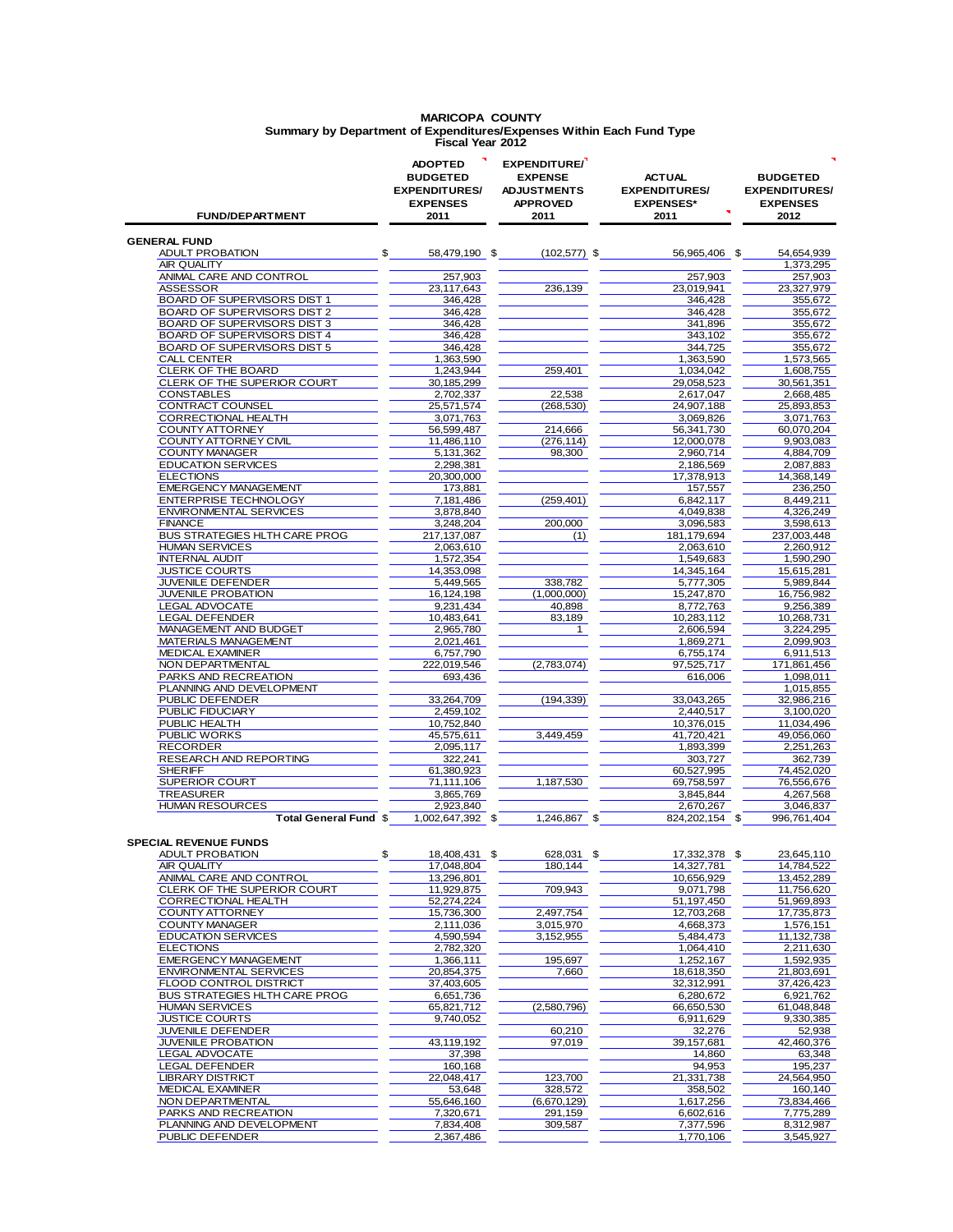### **MARICOPA COUNTY Summary by Department of Expenditures/Expenses Within Each Fund Type Fiscal Year 2012**

| <b>FUND/DEPARTMENT</b>                                   | <b>ADOPTED</b><br><b>BUDGETED</b><br><b>EXPENDITURES/</b><br><b>EXPENSES</b><br>2011 | EXPENDITURE/<br><b>EXPENSE</b><br><b>ADJUSTMENTS</b><br><b>APPROVED</b><br>2011 | <b>ACTUAL</b><br><b>EXPENDITURES/</b><br><b>EXPENSES*</b><br>2011 | <b>BUDGETED</b><br><b>EXPENDITURES/</b><br><b>EXPENSES</b><br>2012 |
|----------------------------------------------------------|--------------------------------------------------------------------------------------|---------------------------------------------------------------------------------|-------------------------------------------------------------------|--------------------------------------------------------------------|
| <b>GENERAL FUND</b>                                      |                                                                                      |                                                                                 |                                                                   |                                                                    |
| ADULT PROBATION                                          | \$<br>58,479,190 \$                                                                  | $(102, 577)$ \$                                                                 | 56.965.406 \$                                                     | 54,654,939                                                         |
| AIR QUALITY<br>ANIMAL CARE AND CONTROL                   | 257,903                                                                              |                                                                                 | 257,903                                                           | 1,373,295                                                          |
| <b>ASSESSOR</b>                                          | 23,117,643                                                                           | 236,139                                                                         | 23,019,941                                                        | 257,903<br>23,327,979                                              |
| BOARD OF SUPERVISORS DIST 1                              | 346,428                                                                              |                                                                                 | 346,428                                                           | 355,672                                                            |
| BOARD OF SUPERVISORS DIST 2                              | 346.428                                                                              |                                                                                 | 346,428                                                           | 355,672                                                            |
| <b>BOARD OF SUPERVISORS DIST 3</b>                       | 346,428                                                                              |                                                                                 | 341,896                                                           | 355,672                                                            |
| BOARD OF SUPERVISORS DIST 4                              | 346,428                                                                              |                                                                                 | 343,102                                                           | 355,672                                                            |
| <b>BOARD OF SUPERVISORS DIST 5</b><br><b>CALL CENTER</b> | 346,428<br>1,363,590                                                                 |                                                                                 | 344,725<br>1,363,590                                              | 355,672<br>1,573,565                                               |
| CLERK OF THE BOARD                                       | 1,243,944                                                                            | 259,401                                                                         | 1,034,042                                                         | 1,608,755                                                          |
| CLERK OF THE SUPERIOR COURT                              | 30,185,299                                                                           |                                                                                 | 29,058,523                                                        | 30,561,351                                                         |
| <b>CONSTABLES</b>                                        | 2,702,337                                                                            | 22,538                                                                          | 2,617,047                                                         | 2,668,485                                                          |
| CONTRACT COUNSEL                                         | 25,571,574                                                                           | (268, 530)                                                                      | 24,907,188                                                        | 25,893,853                                                         |
| CORRECTIONAL HEALTH                                      | 3,071,763                                                                            |                                                                                 | 3,069,826                                                         | 3,071,763                                                          |
| COUNTY ATTORNEY<br>COUNTY ATTORNEY CIVIL                 | 56,599,487                                                                           | 214,666                                                                         | 56,341,730                                                        | 60,070,204                                                         |
| <b>COUNTY MANAGER</b>                                    | 11,486,110<br>5,131,362                                                              | (276, 114)<br>98,300                                                            | 12,000,078<br>2.960.714                                           | 9,903,083<br>4,884,709                                             |
| <b>EDUCATION SERVICES</b>                                | 2,298,381                                                                            |                                                                                 | 2,186,569                                                         | 2,087,883                                                          |
| <b>ELECTIONS</b>                                         | 20,300,000                                                                           |                                                                                 | 17,378,913                                                        | 14,368,149                                                         |
| <b>EMERGENCY MANAGEMENT</b>                              | 173,881                                                                              |                                                                                 | 157,557                                                           | 236,250                                                            |
| <b>ENTERPRISE TECHNOLOGY</b>                             | 7,181,486                                                                            | (259.401)                                                                       | 6,842,117                                                         | 8,449,211                                                          |
| <b>ENVIRONMENTAL SERVICES</b>                            | 3,878,840                                                                            |                                                                                 | 4.049.838                                                         | 4.326.249                                                          |
| <b>FINANCE</b><br>BUS STRATEGIES HLTH CARE PROG          | 3.248.204<br>217, 137, 087                                                           | 200.000<br>(1)                                                                  | 3,096,583<br>181,179,694                                          | 3,598,613<br>237,003,448                                           |
| <b>HUMAN SERVICES</b>                                    | 2,063,610                                                                            |                                                                                 | 2,063,610                                                         | 2,260,912                                                          |
| <b>INTERNAL AUDIT</b>                                    | 1,572,354                                                                            |                                                                                 | 1,549,683                                                         | 1,590,290                                                          |
| <b>JUSTICE COURTS</b>                                    | 14,353,098                                                                           |                                                                                 | 14,345,164                                                        | 15,615,281                                                         |
| <b>JUVENILE DEFENDER</b>                                 | 5,449,565                                                                            | 338.782                                                                         | 5,777,305                                                         | 5,989,844                                                          |
| <b>JUVENILE PROBATION</b>                                | 16,124,198                                                                           | (1,000,000)                                                                     | 15,247,870                                                        | 16,756,982                                                         |
| LEGAL ADVOCATE                                           | 9,231,434                                                                            | 40,898                                                                          | 8,772,763                                                         | 9,256,389                                                          |
| LEGAL DEFENDER<br>MANAGEMENT AND BUDGET                  | 10,483,641<br>2,965,780                                                              | 83,189<br>$\mathbf{1}$                                                          | 10,283,112<br>2,606,594                                           | 10,268,731<br>3,224,295                                            |
| MATERIALS MANAGEMENT                                     | 2,021,461                                                                            |                                                                                 | 1,869,271                                                         | 2,099,903                                                          |
| <b>MEDICAL EXAMINER</b>                                  | 6,757,790                                                                            |                                                                                 | 6,755,174                                                         | 6,911,513                                                          |
| NON DEPARTMENTAL                                         | 222,019,546                                                                          | (2,783,074)                                                                     | 97,525,717                                                        | 171,861,456                                                        |
| PARKS AND RECREATION                                     | 693,436                                                                              |                                                                                 | 616,006                                                           | 1,098,011                                                          |
| PLANNING AND DEVELOPMENT                                 |                                                                                      |                                                                                 |                                                                   | 1,015,855                                                          |
| PUBLIC DEFENDER<br>PUBLIC FIDUCIARY                      | 33,264,709<br>2,459,102                                                              | (194, 339)                                                                      | 33,043,265<br>2,440,517                                           | 32,986,216<br>3,100,020                                            |
| PUBLIC HEALTH                                            | 10,752,840                                                                           |                                                                                 | 10,376,015                                                        | 11,034,496                                                         |
| PUBLIC WORKS                                             | 45,575,611                                                                           | 3,449,459                                                                       | 41,720,421                                                        | 49,056,060                                                         |
| <b>RECORDER</b>                                          | 2,095,117                                                                            |                                                                                 | 1,893,399                                                         | 2,251,263                                                          |
| RESEARCH AND REPORTING                                   | 322,241                                                                              |                                                                                 | 303.727                                                           | 362,739                                                            |
| <b>SHERIFF</b>                                           | 61,380,923                                                                           |                                                                                 | 60,527,995                                                        | 74,452,020                                                         |
| <b>SUPERIOR COURT</b>                                    | 71.111.106                                                                           | 1.187.530                                                                       | 69,758,597                                                        | 76,556,676                                                         |
| <b>TREASURER</b><br><b>HUMAN RESOURCES</b>               | 3,865,769<br>2,923,840                                                               |                                                                                 | 3,845,844<br>2,670,267                                            | 4,267,568<br>3.046.837                                             |
| <b>Total General Fund \$</b>                             | 1.002.647.392<br>-\$                                                                 | 1,246,867                                                                       | 824.202.154<br>\$                                                 | 996.761.404<br>\$                                                  |
|                                                          |                                                                                      |                                                                                 |                                                                   |                                                                    |
| <b>SPECIAL REVENUE FUNDS</b>                             |                                                                                      |                                                                                 |                                                                   |                                                                    |
| <b>ADULT PROBATION</b>                                   | \$<br>18,408,431 \$                                                                  | 628,031 \$                                                                      | 17,332,378 \$                                                     | 23,645,110                                                         |
| AIR QUALITY                                              | 17,048,804                                                                           | 180.144                                                                         | 14,327,781                                                        | 14,784,522                                                         |
| ANIMAL CARE AND CONTROL                                  | 13,296,801                                                                           |                                                                                 | 10,656,929                                                        | 13,452,289                                                         |
| CLERK OF THE SUPERIOR COURT<br>CORRECTIONAL HEALTH       | 11,929,875<br>52,274,224                                                             | 709,943                                                                         | 9,071,798<br>51,197,450                                           | 11,756,620<br>51,969,893                                           |
| <b>COUNTY ATTORNEY</b>                                   | 15,736,300                                                                           | 2,497,754                                                                       | 12,703,268                                                        | 17,735,873                                                         |
| COUNTY MANAGER                                           | 2,111,036                                                                            | 3,015,970                                                                       | 4,668,373                                                         | 1,576,151                                                          |
| <b>EDUCATION SERVICES</b>                                | 4,590,594                                                                            | 3,152,955                                                                       | 5,484,473                                                         | 11,132,738                                                         |
| <b>ELECTIONS</b>                                         | 2,782,320                                                                            |                                                                                 | 1,064,410                                                         | 2,211,630                                                          |
| <b>EMERGENCY MANAGEMENT</b>                              | 1,366,111                                                                            | 195,697                                                                         | 1,252,167                                                         | 1,592,935                                                          |
| <b>ENVIRONMENTAL SERVICES</b><br>FLOOD CONTROL DISTRICT  | 20,854,375<br>37,403,605                                                             | 7,660                                                                           | 18,618,350                                                        | 21,803,691                                                         |
| BUS STRATEGIES HLTH CARE PROG                            | 6,651,736                                                                            |                                                                                 | 32,312,991<br>6,280,672                                           | 37,426,423<br>6,921,762                                            |
| <b>HUMAN SERVICES</b>                                    | 65,821,712                                                                           | (2,580,796)                                                                     | 66,650,530                                                        | 61,048,848                                                         |
|                                                          |                                                                                      |                                                                                 |                                                                   |                                                                    |

JUSTICE COURTS **1.1.1.2.9**<br>
JUSTICE COURTS **9,740,052**<br>
JUVENILE DEFENDER **6,911,629**<br>  $\frac{6,911,629}{32,276}$   $\frac{9,330,385}{52,938}$ **JUVENILE DEFENDER** 52,938<br> **JUVENILE PROBATION** 60,210 **52,938**<br> **ALABORATION** 42,460,376<br> **ALABORATION** 42,460,376 JUVENILE PROBATION 43,119,192 37,019 39,157,681 42,460,376<br>LEGAL ADVOCATE 37,398 37,398 44,860 44,860 53,348 LEGAL ADVOCATE 37,398 14,860 63,348 LEGAL DEFENDER 160,168 122,048,417 123,700 121,331,738 195,237<br>LIBRARY DISTRICT 22,048,417 22,048,417 123,700 21,331,738 24,564,950<br>MEDICAL EXAMINER 195,048 53,648 328,572 358,502 160,140 LIBRARY DISTRICT 22,048,417 123,700 21,331,738 24,564,950 MEDICAL EXAMINER 53,648 328,572 358,502 160,140 NEDICAL EXAMINER<br>
NON DEPARTMENTAL 55,646,160 (6,670,129) 328,572 358,502 1,617,256 73,834,466<br>
PARKS AND RECREATION 7,320,671 291,159 6,602,616 7,775,289 PARKS AND RECREATION 7,320,671 291,159 6,602,616 7,775,289<br>PLANNING AND DEVELOPMENT 7,834,408 309,587 7,377,596 8,312,987 PLANNING AND DEVELOPMENT 7,834,408 309,587 7,377,596 8,312,987 PUBLIC DEFENDER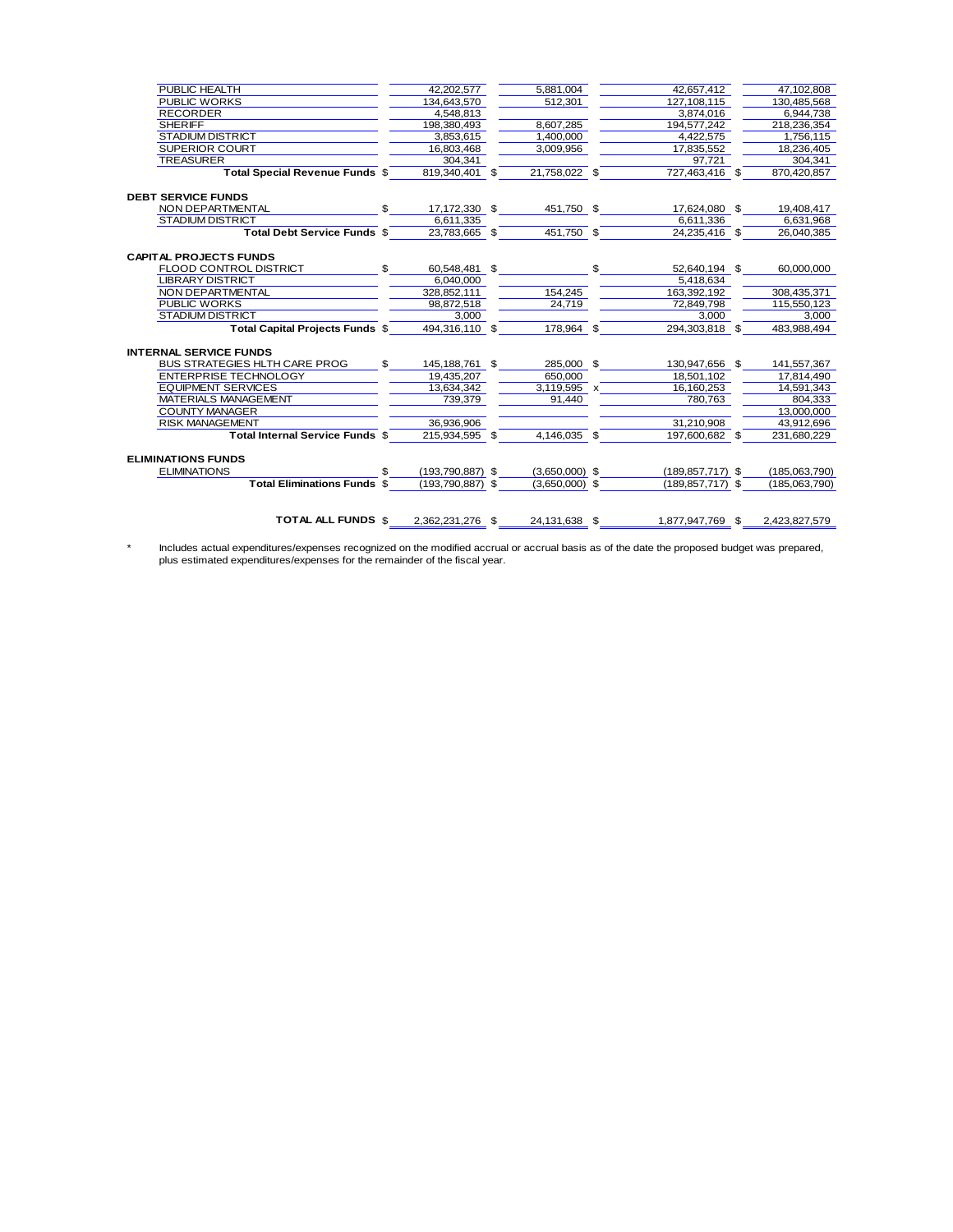| <b>PUBLIC HEALTH</b>                 |              | 42,202,577         | 5,881,004        | 42,657,412           | 47,102,808    |
|--------------------------------------|--------------|--------------------|------------------|----------------------|---------------|
| <b>PUBLIC WORKS</b>                  |              | 134,643,570        | 512,301          | 127,108,115          | 130,485,568   |
| <b>RECORDER</b>                      |              | 4,548,813          |                  | 3,874,016            | 6,944,738     |
| <b>SHERIFF</b>                       |              | 198.380.493        | 8.607.285        | 194.577.242          | 218.236.354   |
| <b>STADIUM DISTRICT</b>              |              | 3,853,615          | 1.400.000        | 4.422.575            | 1.756.115     |
| <b>SUPERIOR COURT</b>                |              | 16.803.468         | 3,009,956        | 17,835,552           | 18,236,405    |
| <b>TREASURER</b>                     |              | 304.341            |                  | 97.721               | 304.341       |
| Total Special Revenue Funds \$       |              | 819.340.401 \$     | 21,758,022 \$    | 727,463,416 \$       | 870,420,857   |
| <b>DEBT SERVICE FUNDS</b>            |              |                    |                  |                      |               |
| NON DEPARTMENTAL                     | $\mathbb{S}$ | 17,172,330 \$      | 451,750 \$       | 17,624,080 \$        | 19,408,417    |
| <b>STADIUM DISTRICT</b>              |              | 6.611.335          |                  | 6.611.336            | 6,631,968     |
| Total Debt Service Funds \$          |              | 23,783,665 \$      | 451,750 \$       | 24,235,416 \$        | 26,040,385    |
| <b>CAPITAL PROJECTS FUNDS</b>        |              |                    |                  |                      |               |
| FLOOD CONTROL DISTRICT               | $\mathbb{S}$ | 60,548,481 \$      | $\mathbb{S}$     | 52,640,194 \$        | 60,000,000    |
| <b>LIBRARY DISTRICT</b>              |              | 6,040,000          |                  | 5,418,634            |               |
| NON DEPARTMENTAL                     |              | 328,852,111        | 154,245          | 163.392.192          | 308,435,371   |
| <b>PUBLIC WORKS</b>                  |              | 98,872,518         | 24.719           | 72,849,798           | 115,550,123   |
| <b>STADIUM DISTRICT</b>              |              | 3.000              |                  | 3.000                | 3.000         |
| Total Capital Projects Funds \$      |              | 494.316.110 \$     | 178.964 \$       | 294.303.818 \$       | 483,988,494   |
| <b>INTERNAL SERVICE FUNDS</b>        |              |                    |                  |                      |               |
| <b>BUS STRATEGIES HLTH CARE PROG</b> | $\mathbf{s}$ | 145,188,761 \$     | 285,000 \$       | 130,947,656 \$       | 141,557,367   |
| ENTERPRISE TECHNOLOGY                |              | 19,435,207         | 650,000          | 18,501,102           | 17,814,490    |
| <b>EQUIPMENT SERVICES</b>            |              | 13.634.342         | $3,119,595$ x    | 16.160.253           | 14.591.343    |
| MATERIALS MANAGEMENT                 |              | 739.379            | 91,440           | 780,763              | 804.333       |
| <b>COUNTY MANAGER</b>                |              |                    |                  |                      | 13,000,000    |
| <b>RISK MANAGEMENT</b>               |              | 36,936,906         |                  | 31.210.908           | 43,912,696    |
| Total Internal Service Funds \$      |              | 215.934.595 \$     | 4,146,035 \$     | 197,600,682 \$       | 231,680,229   |
| <b>ELIMINATIONS FUNDS</b>            |              |                    |                  |                      |               |
| <b>ELIMINATIONS</b>                  |              | $(193,790,887)$ \$ | $(3,650,000)$ \$ | $(189, 857, 717)$ \$ | (185,063,790) |
| <b>Total Eliminations Funds \$</b>   |              | $(193,790,887)$ \$ | $(3,650,000)$ \$ | $(189.857,717)$ \$   | (185,063,790) |
|                                      |              |                    |                  |                      |               |
| <b>TOTAL ALL FUNDS \$</b>            |              | 2.362.231.276 \$   | 24.131.638 \$    | 1.877.947.769 \$     | 2.423.827.579 |

\* Includes actual expenditures/expenses recognized on the modified accrual or accrual basis as of the date the proposed budget was prepared, plus estimated expenditures/expenses for the remainder of the fiscal year.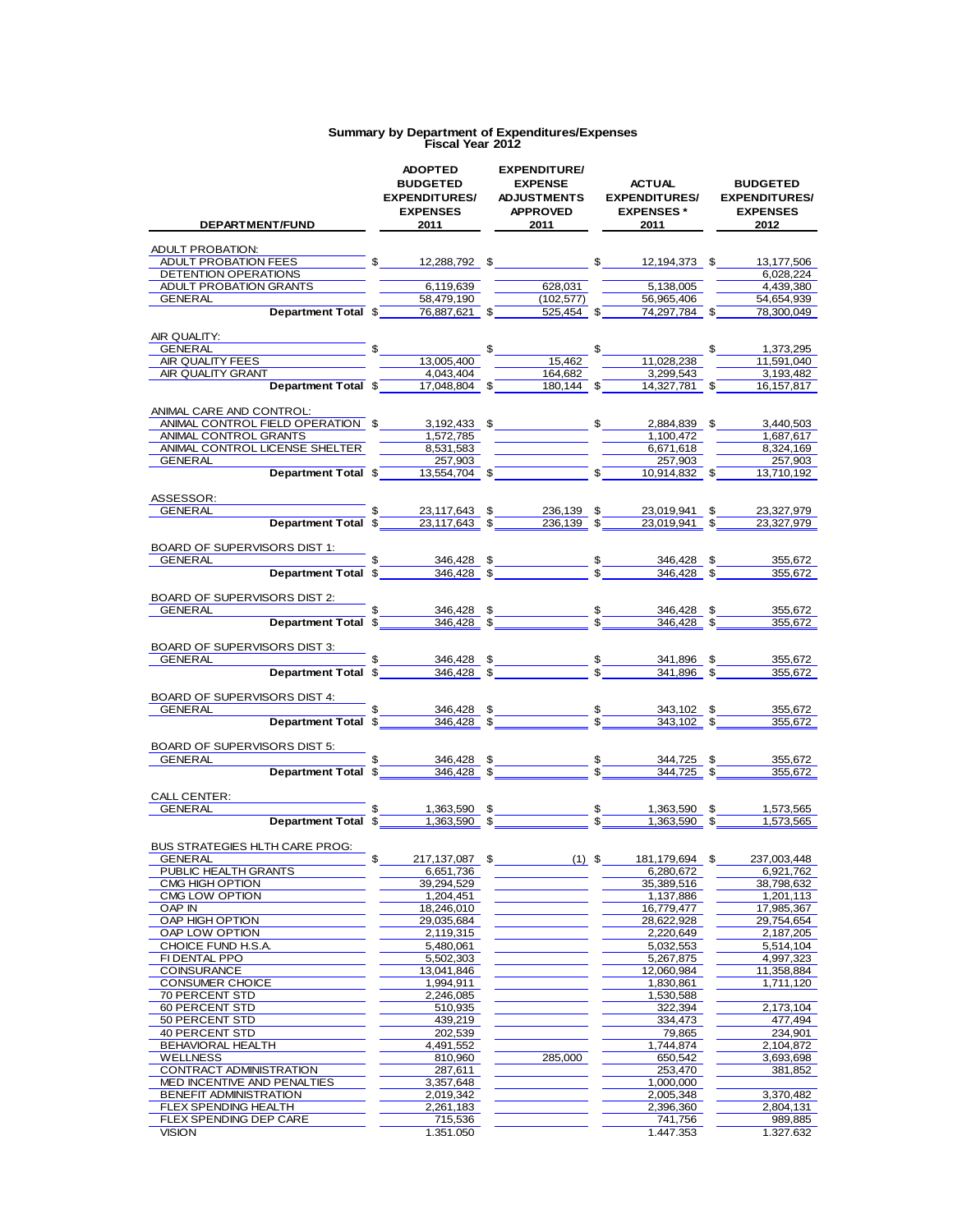| <b>DEPARTMENT/FUND</b>                                                                                                                                                                                                                                                                                                | <b>ADOPTED</b><br><b>BUDGETED</b><br><b>EXPENDITURES/</b><br><b>EXPENSES</b><br>2011 | <b>EXPENDITURE/</b><br><b>EXPENSE</b><br><b>ADJUSTMENTS</b><br><b>APPROVED</b><br>2011 | <b>ACTUAL</b><br><b>EXPENDITURES/</b><br><b>EXPENSES</b> *<br>2011 - 201          | <b>BUDGETED</b><br><b>EXPENDITURES/</b><br><b>EXPENSES</b><br>2012                              |
|-----------------------------------------------------------------------------------------------------------------------------------------------------------------------------------------------------------------------------------------------------------------------------------------------------------------------|--------------------------------------------------------------------------------------|----------------------------------------------------------------------------------------|-----------------------------------------------------------------------------------|-------------------------------------------------------------------------------------------------|
| ADULT PROBATION:                                                                                                                                                                                                                                                                                                      |                                                                                      |                                                                                        |                                                                                   |                                                                                                 |
|                                                                                                                                                                                                                                                                                                                       |                                                                                      |                                                                                        |                                                                                   | 13,177,506                                                                                      |
| DETENTION OPERATIONS                                                                                                                                                                                                                                                                                                  |                                                                                      |                                                                                        |                                                                                   | 6.028.224                                                                                       |
| ADULT PROBATION GRANTS                                                                                                                                                                                                                                                                                                | 6,119,639                                                                            | 628,031                                                                                | 5,138,005                                                                         | 4,439,380                                                                                       |
| Department Total \$ 58,479,190 (102,577) 56,965,406 TOtal \$ 76,887,621 \$ 525,454 \$ 74,297,784 \$<br><b>GENERAL</b>                                                                                                                                                                                                 |                                                                                      | (102, 577)                                                                             |                                                                                   | 54,654,939                                                                                      |
|                                                                                                                                                                                                                                                                                                                       |                                                                                      |                                                                                        |                                                                                   | 78,300,049                                                                                      |
| AIR QUALITY:                                                                                                                                                                                                                                                                                                          |                                                                                      |                                                                                        |                                                                                   |                                                                                                 |
|                                                                                                                                                                                                                                                                                                                       |                                                                                      |                                                                                        |                                                                                   | 1,373,295                                                                                       |
| GENERAL<br>AIR QUALITY FEES<br>AIR QUALITY GRANT<br>$\frac{\frac{13,005,400}{13,005,400}}{\frac{4,043,404}{5}} \frac{15}{17,048,804} \frac{15}{17} \frac{15}{164,682} \frac{17,028,238}{164,682} \frac{17}{164,682}$                                                                                                  |                                                                                      |                                                                                        |                                                                                   | 11,591,040                                                                                      |
|                                                                                                                                                                                                                                                                                                                       |                                                                                      |                                                                                        |                                                                                   | 3,193,482                                                                                       |
|                                                                                                                                                                                                                                                                                                                       |                                                                                      |                                                                                        |                                                                                   | 16, 157, 817                                                                                    |
| ANIMAL CARE AND CONTROL:                                                                                                                                                                                                                                                                                              |                                                                                      |                                                                                        |                                                                                   |                                                                                                 |
| ANIMAL CONTROL FIELD OPERATION \$                                                                                                                                                                                                                                                                                     |                                                                                      | <u>3,192,433</u> \$                                                                    | 2,884,839 \$                                                                      | 3,440,503                                                                                       |
| ANIMAL CONTROL GRANTS                                                                                                                                                                                                                                                                                                 | $\frac{1}{1,572,785}$ _                                                              |                                                                                        | $\frac{1}{1,100,472}$                                                             | 1,687,617                                                                                       |
| ANIMAL CONTROL LICENSE SHELTER                                                                                                                                                                                                                                                                                        | $\frac{8,531,583}{ }$                                                                |                                                                                        | 6,671,618                                                                         | 8,324,169                                                                                       |
| <b>GENERAL</b>                                                                                                                                                                                                                                                                                                        | 257,903                                                                              |                                                                                        | 257,903                                                                           | 257,903                                                                                         |
| Department Total \$2,3554,704 \$2, \$3,554,704 \$2, \$3,554,704 \$2,554,704 \$2,554,704 \$2,554,704 \$2,556,704 \$2,556,704 \$2,556,704 \$2,556,704 \$2,556,704 \$2,556,704 \$2,556,704 \$2,556,704 \$2,556,704 \$2,556,704 \$2,556,704 \$2,556,70                                                                    |                                                                                      |                                                                                        | $\frac{10,914,832}{2}$ \$                                                         | 13,710,192                                                                                      |
| ASSESSOR:                                                                                                                                                                                                                                                                                                             |                                                                                      |                                                                                        |                                                                                   |                                                                                                 |
| <b>Department Total <math>\frac{23,117,643}{23,117,643}</math> <math>\frac{236,139}{236,139}</math> <math>\frac{236,139}{236,139}</math></b><br>GENERAL                                                                                                                                                               |                                                                                      |                                                                                        | 23,019,941 \$                                                                     | 23,327,979                                                                                      |
|                                                                                                                                                                                                                                                                                                                       |                                                                                      |                                                                                        | 23,019,941 \$                                                                     | 23,327,979                                                                                      |
| BOARD OF SUPERVISORS DIST 1:                                                                                                                                                                                                                                                                                          |                                                                                      |                                                                                        |                                                                                   |                                                                                                 |
| <b>GENERAL EXAMPLE AND THE STATE OF A STATE OF A STATE OF A STATE OF A STATE OF A STATE OF A STATE OF A STATE OF A ST</b>                                                                                                                                                                                             |                                                                                      |                                                                                        |                                                                                   | 355,672                                                                                         |
| <b>Example 18 continuous</b> $\frac{1}{2}$ $\frac{346,428}{36}$ $\frac{346,428}{36}$ $\frac{346,428}{36}$ $\frac{346,428}{36}$ $\frac{346,428}{36}$ $\frac{346,428}{36}$                                                                                                                                              |                                                                                      |                                                                                        |                                                                                   | 355,672                                                                                         |
| BOARD OF SUPERVISORS DIST 2:                                                                                                                                                                                                                                                                                          |                                                                                      |                                                                                        |                                                                                   |                                                                                                 |
|                                                                                                                                                                                                                                                                                                                       |                                                                                      |                                                                                        |                                                                                   | 355,672                                                                                         |
| <u>GENERAL <b>Department Total \$</b> 346,428</u> \$ 5 346,428 \$                                                                                                                                                                                                                                                     |                                                                                      |                                                                                        |                                                                                   | 355,672                                                                                         |
|                                                                                                                                                                                                                                                                                                                       |                                                                                      |                                                                                        |                                                                                   |                                                                                                 |
| BOARD OF SUPERVISORS DIST 3:                                                                                                                                                                                                                                                                                          |                                                                                      |                                                                                        |                                                                                   | 355,672                                                                                         |
| <b>Example 18 5</b><br>Department Total $\frac{2}{3}$ 5 346,428 $\frac{2}{3}$<br>GENERAL <b>CONTRACT CONTRACT CONTRACT CONTRACT CONTRACT CONTRACT CONTRACT CONTRACT CONTRACT CONTRACT CONTRACT CONTRACT CONTRACT CONTRACT CONTRACT CONTRACT CONTRACT CONTRACT CONTRACT CONTRACT CONTRACT CONTRACT CONTRACT CONTRA</b> |                                                                                      |                                                                                        | $\frac{\$}{\$}$ 341,896 $\frac{\$}{\$}$ $\frac{341,896}{341,896}$ $\frac{\$}{\$}$ | 355,672                                                                                         |
|                                                                                                                                                                                                                                                                                                                       |                                                                                      |                                                                                        |                                                                                   |                                                                                                 |
| BOARD OF SUPERVISORS DIST 4:                                                                                                                                                                                                                                                                                          |                                                                                      |                                                                                        |                                                                                   |                                                                                                 |
| <b>Example 18</b><br>Department Total $\frac{1}{3}$ $\frac{346,428}{346,428}$ $\frac{3}{3}$ $\frac{36}{3}$ $\frac{343,102}{343,102}$ $\frac{5}{3}$<br><b>GENERAL</b>                                                                                                                                                  |                                                                                      |                                                                                        |                                                                                   | 355,672<br>355,672                                                                              |
|                                                                                                                                                                                                                                                                                                                       |                                                                                      |                                                                                        |                                                                                   |                                                                                                 |
| BOARD OF SUPERVISORS DIST 5:                                                                                                                                                                                                                                                                                          |                                                                                      |                                                                                        |                                                                                   |                                                                                                 |
| GENERAL <b>Department Total \$</b> 346,428 \$ 5 344,725 \$                                                                                                                                                                                                                                                            |                                                                                      |                                                                                        |                                                                                   | 355,672                                                                                         |
|                                                                                                                                                                                                                                                                                                                       |                                                                                      |                                                                                        |                                                                                   | 355,672                                                                                         |
| CALL CENTER:                                                                                                                                                                                                                                                                                                          |                                                                                      |                                                                                        |                                                                                   |                                                                                                 |
| GENERAL                                                                                                                                                                                                                                                                                                               |                                                                                      |                                                                                        |                                                                                   | $\frac{1,363,590}{1,363,590}$ $\frac{5}{1,363,590}$ $\frac{5}{1,363,590}$ $\frac{5}{1,573,565}$ |
| Department Total \$                                                                                                                                                                                                                                                                                                   |                                                                                      |                                                                                        |                                                                                   |                                                                                                 |
| BUS STRATEGIES HLTH CARE PROG:                                                                                                                                                                                                                                                                                        |                                                                                      |                                                                                        |                                                                                   |                                                                                                 |
| GENERAL                                                                                                                                                                                                                                                                                                               | 217,137,087                                                                          | $(1)$ \$                                                                               | 181,179,694 \$                                                                    | 237,003,448                                                                                     |
| PUBLIC HEALTH GRANTS                                                                                                                                                                                                                                                                                                  | 6,651,736                                                                            |                                                                                        | 6,280,672                                                                         | 6,921,762                                                                                       |
| CMG HIGH OPTION                                                                                                                                                                                                                                                                                                       | 39,294,529<br>1.204.451                                                              |                                                                                        | 35,389,516                                                                        | 38,798,632                                                                                      |
| CMG LOW OPTION<br>OAP IN                                                                                                                                                                                                                                                                                              | 18,246,010                                                                           |                                                                                        | 1,137,886<br>16,779,477                                                           | 1,201,113<br>17,985,367                                                                         |
| OAP HIGH OPTION                                                                                                                                                                                                                                                                                                       | 29,035,684                                                                           |                                                                                        | 28,622,928                                                                        | 29,754,654                                                                                      |
| OAP LOW OPTION                                                                                                                                                                                                                                                                                                        | 2,119,315                                                                            |                                                                                        | 2,220,649                                                                         | 2,187,205                                                                                       |
| CHOICE FUND H.S.A.                                                                                                                                                                                                                                                                                                    | 5,480,061                                                                            |                                                                                        | 5,032,553                                                                         | 5,514,104                                                                                       |
| FI DENTAL PPO                                                                                                                                                                                                                                                                                                         | 5,502,303                                                                            |                                                                                        | 5,267,875                                                                         | 4,997,323                                                                                       |
| COINSURANCE                                                                                                                                                                                                                                                                                                           | 13,041,846                                                                           |                                                                                        | 12,060,984                                                                        | 11,358,884                                                                                      |
| <b>CONSUMER CHOICE</b>                                                                                                                                                                                                                                                                                                | 1,994,911                                                                            |                                                                                        | 1,830,861                                                                         | 1,711,120                                                                                       |
| 70 PERCENT STD                                                                                                                                                                                                                                                                                                        | 2,246,085                                                                            |                                                                                        | 1,530,588                                                                         |                                                                                                 |
| <b>60 PERCENT STD</b>                                                                                                                                                                                                                                                                                                 | 510,935                                                                              |                                                                                        | 322,394                                                                           | 2,173,104                                                                                       |
| 50 PERCENT STD                                                                                                                                                                                                                                                                                                        | 439,219                                                                              |                                                                                        | 334,473                                                                           | 477,494                                                                                         |
| 40 PERCENT STD                                                                                                                                                                                                                                                                                                        | 202,539                                                                              |                                                                                        | 79,865                                                                            | 234,901                                                                                         |
| BEHAVIORAL HEALTH<br><b>WELLNESS</b>                                                                                                                                                                                                                                                                                  | 4,491,552                                                                            | 285,000                                                                                | 1,744,874<br>650,542                                                              | 2,104,872                                                                                       |
| CONTRACT ADMINISTRATION                                                                                                                                                                                                                                                                                               | 810,960<br>287,611                                                                   |                                                                                        | 253,470                                                                           | 3,693,698<br>381,852                                                                            |
| MED INCENTIVE AND PENALTIES                                                                                                                                                                                                                                                                                           | 3,357,648                                                                            |                                                                                        | 1,000,000                                                                         |                                                                                                 |
| BENEFIT ADMINISTRATION                                                                                                                                                                                                                                                                                                | 2,019,342                                                                            |                                                                                        | 2,005,348                                                                         | 3,370,482                                                                                       |
| FLEX SPENDING HEALTH                                                                                                                                                                                                                                                                                                  | 2,261,183                                                                            |                                                                                        | 2,396,360                                                                         | 2,804,131                                                                                       |
| FLEX SPENDING DEP CARE                                                                                                                                                                                                                                                                                                | 715,536                                                                              |                                                                                        | 741,756                                                                           | 989,885                                                                                         |
| <b>VISION</b>                                                                                                                                                                                                                                                                                                         | 1.351.050                                                                            |                                                                                        | 1.447.353                                                                         | 1.327.632                                                                                       |

# **Summary by Department of Expenditures/Expenses Fiscal Year 2012**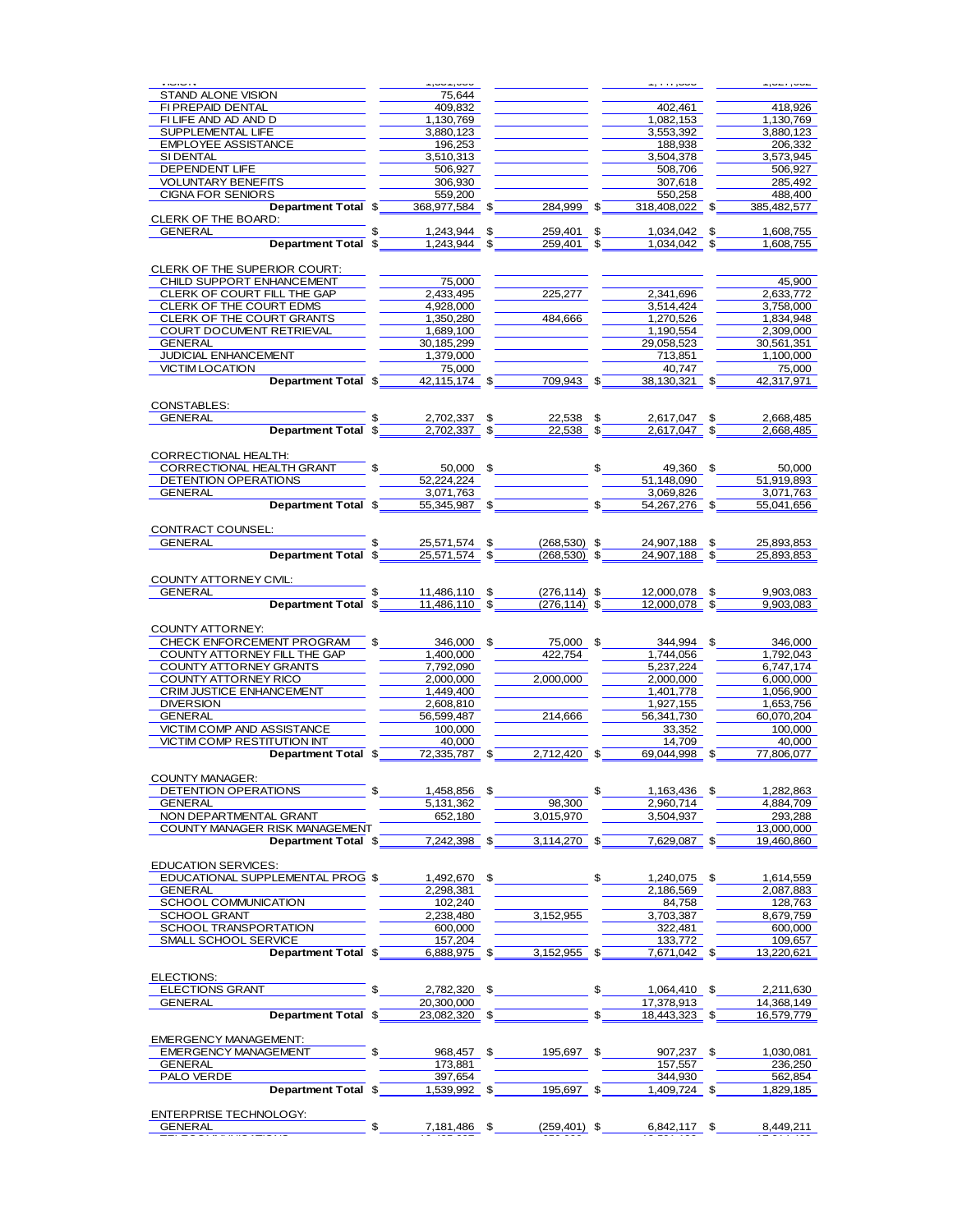|                                                                                                                                                                                                                                                                                                           | 1,001,000                                  |                                         | טטט, ודד, ו             | 1.92, 1.29, 1.               |
|-----------------------------------------------------------------------------------------------------------------------------------------------------------------------------------------------------------------------------------------------------------------------------------------------------------|--------------------------------------------|-----------------------------------------|-------------------------|------------------------------|
| STAND ALONE VISION<br>FI PREPAID DENTAL                                                                                                                                                                                                                                                                   | 75,644<br>409.832                          |                                         | 402.461                 | 418,926                      |
| FILIFE AND AD AND D                                                                                                                                                                                                                                                                                       | 1,130,769                                  |                                         | 1.082.153               | 1,130,769                    |
| SUPPLEMENTAL LIFE                                                                                                                                                                                                                                                                                         | 3,880,123                                  |                                         | 3,553,392               | 3,880,123                    |
| EMPLOYEE ASSISTANCE                                                                                                                                                                                                                                                                                       | 196,253                                    |                                         | 188,938                 | 206,332                      |
| SI DENTAL                                                                                                                                                                                                                                                                                                 | 3,510,313                                  |                                         | 3,504,378               | 3,573,945                    |
| DEPENDENT LIFE                                                                                                                                                                                                                                                                                            | 506,927                                    |                                         | 508,706                 | $\frac{506,927}{285,492}$    |
| <u>VOLUNTARY BENEFITS<br/>CIGNA FOR SENIORS <b>Department Total \$</b> 306,930 (284,999 (284,999 (284,999 (284,999 (284,992 (285,492)</u><br>Department Total \$ 368,977,584 (284,999 (284,999 (284,999 (285,482,577                                                                                      |                                            |                                         |                         |                              |
|                                                                                                                                                                                                                                                                                                           |                                            |                                         |                         |                              |
| CLERK OF THE BOARD:                                                                                                                                                                                                                                                                                       |                                            |                                         |                         |                              |
|                                                                                                                                                                                                                                                                                                           |                                            |                                         |                         |                              |
| <u>GENERAL <b>Department Total \$</b> 1,243,944</u> \$ 259,401 \$ 1,034,042 \$ 1,608,755<br>Department Total \$ 1,243,944 \$ 259,401 \$ 1,034,042 \$ 1,608,755                                                                                                                                            |                                            |                                         |                         |                              |
|                                                                                                                                                                                                                                                                                                           |                                            |                                         |                         |                              |
| CLERK OF THE SUPERIOR COURT:                                                                                                                                                                                                                                                                              |                                            |                                         |                         |                              |
| CHILD SUPPORT ENHANCEMENT                                                                                                                                                                                                                                                                                 | 75,000                                     |                                         |                         | 45,900                       |
| <b>CHILD SUPPORT ENHANCEMENT<br/>CLERK OF COURT FILL THE GAP<br/>CLERK OF THE COURT EDMS</b>                                                                                                                                                                                                              | $\frac{2,433,495}{1,008,000}$<br>4,928,000 | 225,277                                 | 2,341,696<br>3,514,424  | 2,633,772<br>3,758,000       |
| CLERK OF THE COURT GRANTS                                                                                                                                                                                                                                                                                 | 1,350,280                                  | <u>and the second second</u><br>484,666 | 1,270,526               | 1,834,948                    |
| COURT DOCUMENT RETRIEVAL                                                                                                                                                                                                                                                                                  | 1,689,100                                  |                                         | 1,190,554               | 2,309,000                    |
| <u>GOURT DOCUMENT NETWORKS 299</u><br>GENERAL<br>JUDICIAL ENHANCEMENT 2000 1,379,000                                                                                                                                                                                                                      |                                            |                                         | 29,058,523              | 30,561,351                   |
|                                                                                                                                                                                                                                                                                                           |                                            |                                         | 713,851                 | 1,100,000                    |
| <b>VICTIM LOCATION</b>                                                                                                                                                                                                                                                                                    | 75,000                                     |                                         | 40.747                  | 75,000                       |
| <b>Department Total \$</b> 42,115,174 \$ 709,943 \$                                                                                                                                                                                                                                                       |                                            |                                         | $38,130,321$ \$         | 42,317,971                   |
|                                                                                                                                                                                                                                                                                                           |                                            |                                         |                         |                              |
|                                                                                                                                                                                                                                                                                                           |                                            |                                         |                         |                              |
|                                                                                                                                                                                                                                                                                                           |                                            |                                         |                         |                              |
| CONSTABLES:<br>CENERAL Department Total \$2,702,337 \$22,538 \$2,617,047 \$2,668,485<br>Department Total \$2,702,337 \$2,538 \$2,617,047 \$2,668,485                                                                                                                                                      |                                            |                                         |                         |                              |
| CORRECTIONAL HEALTH:                                                                                                                                                                                                                                                                                      |                                            |                                         |                         |                              |
|                                                                                                                                                                                                                                                                                                           |                                            |                                         |                         |                              |
|                                                                                                                                                                                                                                                                                                           |                                            |                                         |                         |                              |
| CORRECTIONAL HEALTH GRANT<br>CORRECTIONAL HEALTH GRANT<br>CENERAL <b>DETENTION OPERATIONS</b><br>CENERAL <b>DEPENTION OPERATIONS</b><br><b>CENERAL Department Total</b> \$ <u>55,345,987</u><br>S <sub>2</sub> 55,345,987<br>S <sub>2</sub> 55,345,987<br>S <sub>2</sub> 55,345,987<br>S <sub>2</sub> 55, |                                            |                                         |                         |                              |
|                                                                                                                                                                                                                                                                                                           |                                            |                                         |                         |                              |
|                                                                                                                                                                                                                                                                                                           |                                            |                                         |                         |                              |
|                                                                                                                                                                                                                                                                                                           |                                            |                                         |                         | 25,893,853                   |
|                                                                                                                                                                                                                                                                                                           |                                            |                                         |                         | 25,893,853                   |
|                                                                                                                                                                                                                                                                                                           |                                            |                                         |                         |                              |
| COUNTY ATTORNEY CIVIL:                                                                                                                                                                                                                                                                                    |                                            |                                         |                         |                              |
| GENERAL 5 5 11,486,110 \$ 276,114) \$ 12,000,078 \$ 9,903,083                                                                                                                                                                                                                                             |                                            |                                         |                         |                              |
|                                                                                                                                                                                                                                                                                                           |                                            |                                         |                         |                              |
| COUNTY ATTORNEY:                                                                                                                                                                                                                                                                                          |                                            |                                         |                         |                              |
| CHECK ENFORCEMENT PROGRAM \$16,000 \$76,000 \$1000 \$1000 \$1000 \$1000 \$1000 \$1000 \$1000 \$1000 \$1000 \$1000 \$1000 \$1000 \$1000 \$1000 \$1000 \$1000 \$1000 \$1000 \$1000 \$1000 \$1000 \$1000 \$1000 \$1000 \$1000 \$1000 \$1000 \$1000 \$1000 \$1000                                             |                                            |                                         |                         |                              |
| COUNTY ATTORNEY FILL THE GAP 1,400,000 422,754                                                                                                                                                                                                                                                            |                                            |                                         | 1,744,056               | 1,792,043                    |
| COUNTY ATTORNEY GRANTS                                                                                                                                                                                                                                                                                    | 7,792,090                                  |                                         | 5,237,224               | 6,747,174                    |
| COUNTY ATTORNEY RICO                                                                                                                                                                                                                                                                                      |                                            | 2,000,000 2,000,000                     | 2,000,000               | <u> Francis</u><br>6,000,000 |
| CRIM JUSTICE ENHANCEMENT                                                                                                                                                                                                                                                                                  | 1,449,400                                  | $\frac{1,449,400}{2,608,810}$           | 1,401,778               | 1,056,900                    |
| DIVERSION<br>GENERAL<br>VICTIM COMP AND ASSISTANCE<br>THE COLOR OF THE COLOR OF THE COLOR OF THE COLOR OF THE COLOR OF THE COLOR OF THE COLOR OF THE COLOR OF THE COLOR OF THE COLOR OF THE COLOR OF THE COLOR OF THE COLOR OF THE C                                                                      |                                            |                                         | 1.927.155               | 1.653.756                    |
|                                                                                                                                                                                                                                                                                                           |                                            |                                         | 56,341,730              | 60,070,204                   |
| VICTIM COMP RESTITUTION INT                                                                                                                                                                                                                                                                               | 40,000                                     | $\frac{33,352}{11700}$                  | 14,709                  | 100,000<br>40,000            |
| Department Total \$ 72,335,787 \$ 2,712,420 \$                                                                                                                                                                                                                                                            |                                            |                                         | 69,044,998 \$           | 77,806,077                   |
|                                                                                                                                                                                                                                                                                                           |                                            |                                         |                         |                              |
| <b>COUNTY MANAGER:</b>                                                                                                                                                                                                                                                                                    |                                            |                                         |                         |                              |
| DETENTION OPERATIONS                                                                                                                                                                                                                                                                                      | \$<br>1,458,856 \$                         |                                         | \$<br>1,163,436 \$      | 1,282,863                    |
| <b>GENERAL</b>                                                                                                                                                                                                                                                                                            | 5,131,362                                  | 98,300                                  | 2,960,714               | 4,884,709                    |
| NON DEPARTMENTAL GRANT                                                                                                                                                                                                                                                                                    | 652,180                                    | 3,015,970                               | 3.504.937               | 293,288                      |
| COUNTY MANAGER RISK MANAGEMENT                                                                                                                                                                                                                                                                            |                                            |                                         | 7,629,087 \$            | 13,000,000                   |
| Department Total \$                                                                                                                                                                                                                                                                                       | 7,242,398 \$                               | 3,114,270 \$                            |                         | 19,460,860                   |
| <b>EDUCATION SERVICES:</b>                                                                                                                                                                                                                                                                                |                                            |                                         |                         |                              |
| EDUCATIONAL SUPPLEMENTAL PROG \$                                                                                                                                                                                                                                                                          | 1,492,670 \$                               |                                         | \$<br>1,240,075 \$      | 1,614,559                    |
| <b>GENERAL</b>                                                                                                                                                                                                                                                                                            | 2,298,381                                  |                                         | 2,186,569               | 2,087,883                    |
| SCHOOL COMMUNICATION                                                                                                                                                                                                                                                                                      | 102,240                                    |                                         | 84,758                  | 128,763                      |
| <b>SCHOOL GRANT</b>                                                                                                                                                                                                                                                                                       | 2,238,480                                  | 3,152,955                               | 3,703,387               | 8,679,759                    |
| SCHOOL TRANSPORTATION                                                                                                                                                                                                                                                                                     | 600,000                                    |                                         | 322,481                 | 600,000                      |
| SMALL SCHOOL SERVICE<br>Department Total \$                                                                                                                                                                                                                                                               | 157,204<br>6,888,975 \$                    | 3,152,955 \$                            | 133,772<br>7,671,042 \$ | 109,657<br>13,220,621        |
|                                                                                                                                                                                                                                                                                                           |                                            |                                         |                         |                              |
| ELECTIONS:                                                                                                                                                                                                                                                                                                |                                            |                                         |                         |                              |
| <b>ELECTIONS GRANT</b>                                                                                                                                                                                                                                                                                    | \$<br>2,782,320 \$                         |                                         | \$<br>1,064,410 \$      | 2,211,630                    |
| <b>GENERAL</b>                                                                                                                                                                                                                                                                                            | 20,300,000                                 |                                         | 17,378,913              | 14,368,149                   |
| Department Total \$                                                                                                                                                                                                                                                                                       | 23,082,320 \$                              |                                         | 18,443,323 \$           | 16,579,779                   |
|                                                                                                                                                                                                                                                                                                           |                                            |                                         |                         |                              |
| <b>EMERGENCY MANAGEMENT:</b><br><b>EMERGENCY MANAGEMENT</b>                                                                                                                                                                                                                                               | \$<br>968,457 \$                           |                                         |                         |                              |
| GENERAL                                                                                                                                                                                                                                                                                                   | 173,881                                    | 195,697 \$                              | 907,237 \$<br>157,557   | 1,030,081<br>236,250         |
| PALO VERDE                                                                                                                                                                                                                                                                                                | 397,654                                    |                                         | 344,930                 | 562,854                      |
| Department Total \$                                                                                                                                                                                                                                                                                       | 1,539,992 \$                               | 195,697 \$                              | 1,409,724               | \$<br>1,829,185              |
|                                                                                                                                                                                                                                                                                                           |                                            |                                         |                         |                              |
| ENTERPRISE TECHNOLOGY:                                                                                                                                                                                                                                                                                    |                                            |                                         |                         |                              |
| <b>GENERAL</b>                                                                                                                                                                                                                                                                                            | \$<br>7,181,486 \$                         | $(259, 401)$ \$                         | 6,842,117 \$            | 8,449,211                    |
|                                                                                                                                                                                                                                                                                                           |                                            |                                         |                         |                              |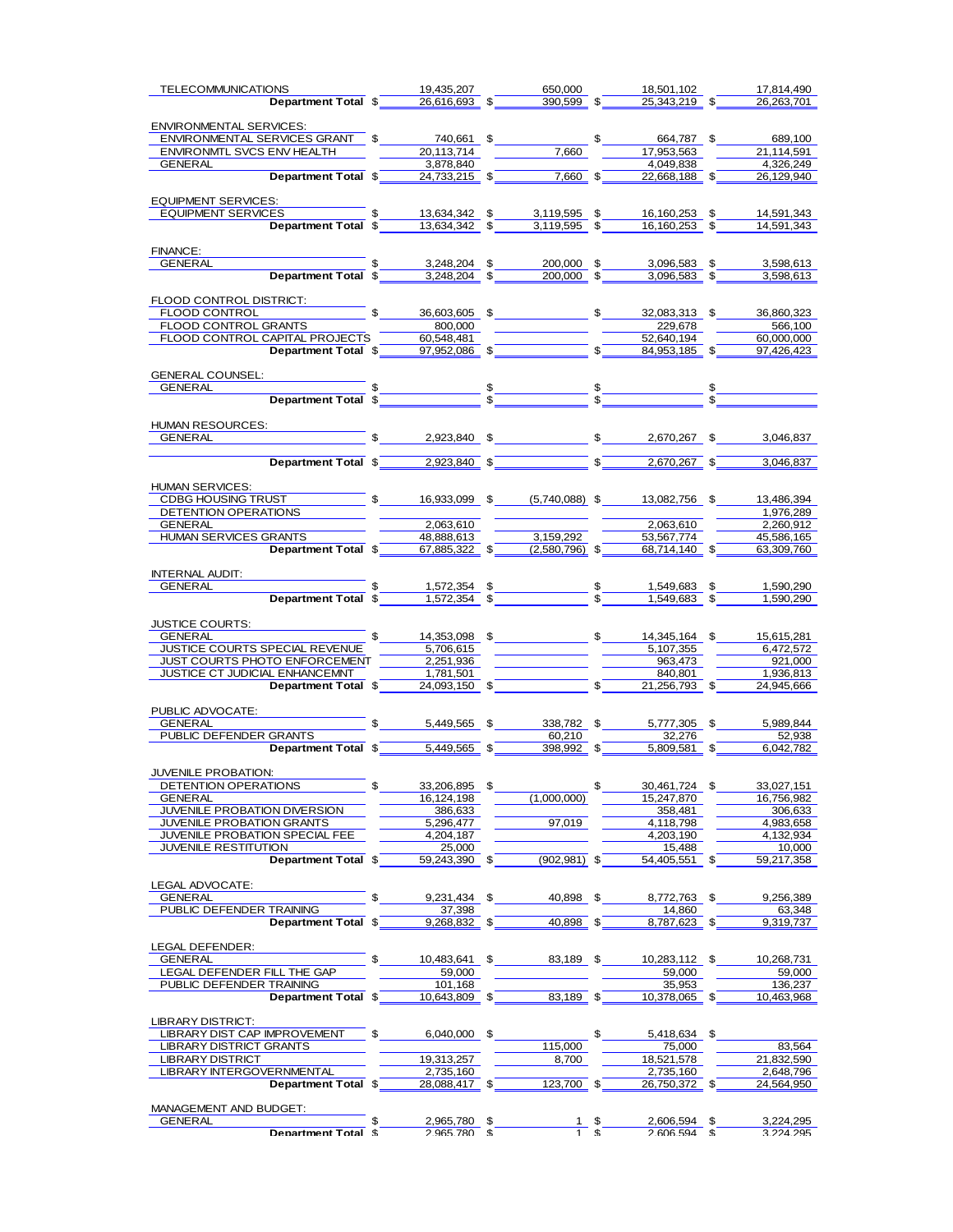| <b>TELECOMMUNICATIONS</b>                                                                                                                                                                                                                                                                                           | 19,435,207                                                                                                                                                                                                                           | 650,000                | 18,501,102                                          | 17,814,490       |
|---------------------------------------------------------------------------------------------------------------------------------------------------------------------------------------------------------------------------------------------------------------------------------------------------------------------|--------------------------------------------------------------------------------------------------------------------------------------------------------------------------------------------------------------------------------------|------------------------|-----------------------------------------------------|------------------|
|                                                                                                                                                                                                                                                                                                                     | <b>Department Total <math>\sqrt[3]{26,616,693}</math> <math>\sqrt[3]{20,599}</math> <math>\sqrt[3]{25,343,219}</math> <math>\sqrt[3]{25,343,219}</math></b>                                                                          |                        |                                                     | 26, 263, 701     |
|                                                                                                                                                                                                                                                                                                                     |                                                                                                                                                                                                                                      |                        |                                                     |                  |
| ENVIRONMENTAL SERVICES:                                                                                                                                                                                                                                                                                             |                                                                                                                                                                                                                                      |                        |                                                     |                  |
|                                                                                                                                                                                                                                                                                                                     |                                                                                                                                                                                                                                      |                        |                                                     |                  |
| ENVIRONMENTAL SERVICES GRANT \$20,113,714 5 5 664,787 \$689,100<br>ENVIRONMTL SVCS ENV HEALTH 20,113,714 7,660 77,660 57,863 21,114,591                                                                                                                                                                             |                                                                                                                                                                                                                                      |                        |                                                     |                  |
|                                                                                                                                                                                                                                                                                                                     | 3.878.840                                                                                                                                                                                                                            |                        | 4.049.838                                           | 4.326.249        |
| GENERAL Department Tota                                                                                                                                                                                                                                                                                             |                                                                                                                                                                                                                                      |                        |                                                     |                  |
|                                                                                                                                                                                                                                                                                                                     |                                                                                                                                                                                                                                      |                        |                                                     | 26,129,940       |
|                                                                                                                                                                                                                                                                                                                     |                                                                                                                                                                                                                                      |                        |                                                     |                  |
| <b>EQUIPMENT SERVICES:</b>                                                                                                                                                                                                                                                                                          |                                                                                                                                                                                                                                      |                        |                                                     |                  |
| <u>COIPMENT SERVICES.<br/>EQUIPMENT SERVICES 6 13,634,342 \$3,119,595 \$16,160,253 \$14,591,343<br/>Department Total \$16,634,342 \$3,119,595 \$16,160,253 \$14,591,343</u>                                                                                                                                         |                                                                                                                                                                                                                                      |                        |                                                     |                  |
|                                                                                                                                                                                                                                                                                                                     |                                                                                                                                                                                                                                      |                        |                                                     |                  |
|                                                                                                                                                                                                                                                                                                                     |                                                                                                                                                                                                                                      |                        |                                                     |                  |
| FINANCE:                                                                                                                                                                                                                                                                                                            |                                                                                                                                                                                                                                      |                        |                                                     |                  |
|                                                                                                                                                                                                                                                                                                                     |                                                                                                                                                                                                                                      |                        |                                                     |                  |
|                                                                                                                                                                                                                                                                                                                     |                                                                                                                                                                                                                                      |                        |                                                     |                  |
|                                                                                                                                                                                                                                                                                                                     |                                                                                                                                                                                                                                      |                        |                                                     |                  |
| FLOOD CONTROL DISTRICT:                                                                                                                                                                                                                                                                                             |                                                                                                                                                                                                                                      |                        |                                                     |                  |
|                                                                                                                                                                                                                                                                                                                     |                                                                                                                                                                                                                                      |                        |                                                     | 36,860,323       |
|                                                                                                                                                                                                                                                                                                                     |                                                                                                                                                                                                                                      |                        |                                                     |                  |
|                                                                                                                                                                                                                                                                                                                     |                                                                                                                                                                                                                                      |                        |                                                     |                  |
| FLOOD CONTROL GRANTS<br>FLOOD CONTROL CAPITAL PROJECTS $\begin{array}{ c c c c c c c c c }\hline \text{SO0,000} & 229,678 & 566,100 \\\hline \text{FLOOD CONTROL CAPITAL PROJECTS} & 60,548,481 & 52,640,194 & 60,000,000 \\\hline \text{Department Total $ & 97,952,086 & 5 & 8 & 84,953,185 \\\hline \end{array}$ |                                                                                                                                                                                                                                      |                        |                                                     |                  |
|                                                                                                                                                                                                                                                                                                                     |                                                                                                                                                                                                                                      |                        |                                                     |                  |
|                                                                                                                                                                                                                                                                                                                     |                                                                                                                                                                                                                                      |                        |                                                     |                  |
| GENERAL COUNSEL:                                                                                                                                                                                                                                                                                                    |                                                                                                                                                                                                                                      |                        |                                                     |                  |
|                                                                                                                                                                                                                                                                                                                     |                                                                                                                                                                                                                                      |                        |                                                     |                  |
|                                                                                                                                                                                                                                                                                                                     |                                                                                                                                                                                                                                      |                        |                                                     |                  |
|                                                                                                                                                                                                                                                                                                                     |                                                                                                                                                                                                                                      |                        |                                                     |                  |
|                                                                                                                                                                                                                                                                                                                     |                                                                                                                                                                                                                                      |                        |                                                     |                  |
|                                                                                                                                                                                                                                                                                                                     |                                                                                                                                                                                                                                      |                        |                                                     |                  |
|                                                                                                                                                                                                                                                                                                                     |                                                                                                                                                                                                                                      |                        |                                                     |                  |
|                                                                                                                                                                                                                                                                                                                     | <b>Department Total \$</b> 2,923,840 \$<br>3,046,837                                                                                                                                                                                 |                        |                                                     |                  |
|                                                                                                                                                                                                                                                                                                                     |                                                                                                                                                                                                                                      |                        |                                                     |                  |
|                                                                                                                                                                                                                                                                                                                     |                                                                                                                                                                                                                                      |                        |                                                     |                  |
|                                                                                                                                                                                                                                                                                                                     |                                                                                                                                                                                                                                      |                        |                                                     | 13,486,394       |
|                                                                                                                                                                                                                                                                                                                     |                                                                                                                                                                                                                                      |                        |                                                     |                  |
|                                                                                                                                                                                                                                                                                                                     |                                                                                                                                                                                                                                      |                        |                                                     | 1,976,289        |
|                                                                                                                                                                                                                                                                                                                     |                                                                                                                                                                                                                                      |                        | 2,063,610<br>53,567,774<br>53,567,774<br>45,586,165 |                  |
|                                                                                                                                                                                                                                                                                                                     |                                                                                                                                                                                                                                      |                        |                                                     |                  |
| GENERAL<br>HUMAN SERVICES GRANTS Department Total $\sqrt[3]{\frac{2,063,610}{48,888,613}} \times \frac{2,063,610}{53,159,292}$                                                                                                                                                                                      |                                                                                                                                                                                                                                      |                        |                                                     | 63,309,760       |
|                                                                                                                                                                                                                                                                                                                     |                                                                                                                                                                                                                                      |                        |                                                     |                  |
|                                                                                                                                                                                                                                                                                                                     |                                                                                                                                                                                                                                      |                        |                                                     |                  |
|                                                                                                                                                                                                                                                                                                                     |                                                                                                                                                                                                                                      |                        |                                                     |                  |
|                                                                                                                                                                                                                                                                                                                     |                                                                                                                                                                                                                                      |                        |                                                     |                  |
|                                                                                                                                                                                                                                                                                                                     |                                                                                                                                                                                                                                      |                        |                                                     |                  |
|                                                                                                                                                                                                                                                                                                                     |                                                                                                                                                                                                                                      |                        |                                                     |                  |
|                                                                                                                                                                                                                                                                                                                     |                                                                                                                                                                                                                                      |                        |                                                     | 15,615,281       |
| JUSTICE COURTS SPECIAL REVENUE                                                                                                                                                                                                                                                                                      | $\frac{5,706,615}{5,706,615}$                                                                                                                                                                                                        |                        |                                                     | 6,472,572        |
| JUST COURTS PHOTO ENFORCEMENT 2,251,936                                                                                                                                                                                                                                                                             |                                                                                                                                                                                                                                      |                        |                                                     | 921,000          |
| JUSTICE CT JUDICIAL ENHANCEMNT                                                                                                                                                                                                                                                                                      |                                                                                                                                                                                                                                      |                        | $\frac{5,107,355}{963,473}$                         | 1,936,813        |
|                                                                                                                                                                                                                                                                                                                     | <u>LL ENHANCEMNT (1,781,501)</u>                                                                                                                                                                                                     |                        | $21,256,793$ \$                                     |                  |
|                                                                                                                                                                                                                                                                                                                     |                                                                                                                                                                                                                                      |                        |                                                     | 24,945,666       |
|                                                                                                                                                                                                                                                                                                                     |                                                                                                                                                                                                                                      |                        |                                                     |                  |
| PUBLIC ADVOCATE:<br>GENERAL                                                                                                                                                                                                                                                                                         |                                                                                                                                                                                                                                      |                        |                                                     |                  |
|                                                                                                                                                                                                                                                                                                                     |                                                                                                                                                                                                                                      |                        |                                                     |                  |
| GENERAL<br>PUBLIC DEFENDER GRANTS 35 338,782 \$5,777,305 \$5,989,844                                                                                                                                                                                                                                                | GRANTS <b>Example 18 CONTENT SALES CONTENT SALES SERVER SERVER SALES SERVER SALES SERVER SERVER SERVER SERVER SERVER SALES SERVER SERVER SERVER SERVER SERVER SERVER SERVER SERVER SERVER SERVER SERVER SERVER SERVER SERVER SER</b> |                        |                                                     |                  |
|                                                                                                                                                                                                                                                                                                                     |                                                                                                                                                                                                                                      |                        |                                                     |                  |
|                                                                                                                                                                                                                                                                                                                     |                                                                                                                                                                                                                                      |                        |                                                     |                  |
| JUVENILE PROBATION:                                                                                                                                                                                                                                                                                                 |                                                                                                                                                                                                                                      |                        |                                                     |                  |
| DETENTION OPERATIONS                                                                                                                                                                                                                                                                                                | 33,206,895                                                                                                                                                                                                                           | \$                     | 30,461,724                                          | 33,027,151       |
| GENERAL                                                                                                                                                                                                                                                                                                             | 16,124,198                                                                                                                                                                                                                           | (1,000,000)            | 15,247,870                                          | 16,756,982       |
| JUVENILE PROBATION DIVERSION                                                                                                                                                                                                                                                                                        | 386,633                                                                                                                                                                                                                              |                        | 358,481                                             | 306,633          |
| <b>JUVENILE PROBATION GRANTS</b>                                                                                                                                                                                                                                                                                    | 5,296,477                                                                                                                                                                                                                            | 97,019                 | 4,118,798                                           | 4,983,658        |
| JUVENILE PROBATION SPECIAL FEE                                                                                                                                                                                                                                                                                      | 4,204,187                                                                                                                                                                                                                            |                        | 4,203,190                                           | 4,132,934        |
| <b>JUVENILE RESTITUTION</b>                                                                                                                                                                                                                                                                                         | 25,000                                                                                                                                                                                                                               |                        | 15,488                                              | 10,000           |
| Department Total \$                                                                                                                                                                                                                                                                                                 | 59,243,390 \$                                                                                                                                                                                                                        | $(902, 981)$ \$        | 54,405,551                                          | 59,217,358       |
|                                                                                                                                                                                                                                                                                                                     |                                                                                                                                                                                                                                      |                        |                                                     |                  |
|                                                                                                                                                                                                                                                                                                                     |                                                                                                                                                                                                                                      |                        |                                                     |                  |
| LEGAL ADVOCATE:                                                                                                                                                                                                                                                                                                     |                                                                                                                                                                                                                                      |                        |                                                     |                  |
| GENERAL                                                                                                                                                                                                                                                                                                             | 9,231,434 \$                                                                                                                                                                                                                         | 40,898 \$              | 8,772,763                                           | \$<br>9,256,389  |
| PUBLIC DEFENDER TRAINING                                                                                                                                                                                                                                                                                            | 37,398                                                                                                                                                                                                                               |                        | 14,860                                              | 63,348           |
| Department Total \$                                                                                                                                                                                                                                                                                                 | 9,268,832 \$                                                                                                                                                                                                                         | 40,898 \$              | 8,787,623 \$                                        | 9,319,737        |
|                                                                                                                                                                                                                                                                                                                     |                                                                                                                                                                                                                                      |                        |                                                     |                  |
| LEGAL DEFENDER:                                                                                                                                                                                                                                                                                                     |                                                                                                                                                                                                                                      |                        |                                                     |                  |
| <b>GENERAL</b>                                                                                                                                                                                                                                                                                                      | \$<br>10,483,641 \$                                                                                                                                                                                                                  | 83,189 \$              | 10,283,112 \$                                       | 10,268,731       |
| LEGAL DEFENDER FILL THE GAP                                                                                                                                                                                                                                                                                         | 59,000                                                                                                                                                                                                                               |                        | 59,000                                              | 59,000           |
| PUBLIC DEFENDER TRAINING                                                                                                                                                                                                                                                                                            | 101,168                                                                                                                                                                                                                              |                        | 35,953                                              | 136,237          |
| Department Total \$                                                                                                                                                                                                                                                                                                 | 10,643,809 \$                                                                                                                                                                                                                        | 83,189 \$              | 10,378,065 \$                                       | 10,463,968       |
|                                                                                                                                                                                                                                                                                                                     |                                                                                                                                                                                                                                      |                        |                                                     |                  |
| LIBRARY DISTRICT:                                                                                                                                                                                                                                                                                                   |                                                                                                                                                                                                                                      |                        |                                                     |                  |
| LIBRARY DIST CAP IMPROVEMENT                                                                                                                                                                                                                                                                                        | \$.<br>6,040,000 \$                                                                                                                                                                                                                  |                        | \$<br>5,418,634 \$                                  |                  |
| <b>LIBRARY DISTRICT GRANTS</b>                                                                                                                                                                                                                                                                                      |                                                                                                                                                                                                                                      | 115,000                | 75,000                                              | 83,564           |
|                                                                                                                                                                                                                                                                                                                     |                                                                                                                                                                                                                                      |                        |                                                     |                  |
| <b>LIBRARY DISTRICT</b>                                                                                                                                                                                                                                                                                             | 19,313,257                                                                                                                                                                                                                           | 8,700                  | 18,521,578                                          | 21,832,590       |
| LIBRARY INTERGOVERNMENTAL                                                                                                                                                                                                                                                                                           | 2,735,160                                                                                                                                                                                                                            |                        | 2,735,160                                           | 2,648,796        |
| Department Total \$                                                                                                                                                                                                                                                                                                 | 28,088,417 \$                                                                                                                                                                                                                        | 123,700                | \$<br>26,750,372                                    | \$<br>24,564,950 |
|                                                                                                                                                                                                                                                                                                                     |                                                                                                                                                                                                                                      |                        |                                                     |                  |
| MANAGEMENT AND BUDGET:                                                                                                                                                                                                                                                                                              |                                                                                                                                                                                                                                      |                        |                                                     |                  |
| <b>GENERAL</b>                                                                                                                                                                                                                                                                                                      | 2,965,780                                                                                                                                                                                                                            | \$<br>$\frac{1}{1}$ \$ | 2,606,594                                           | 3,224,295        |
| Denartment Total &                                                                                                                                                                                                                                                                                                  | $2$ 965 780 $\overline{\phantom{a}}$                                                                                                                                                                                                 |                        | $2$ 606.594 $\%$                                    | 3 224 295        |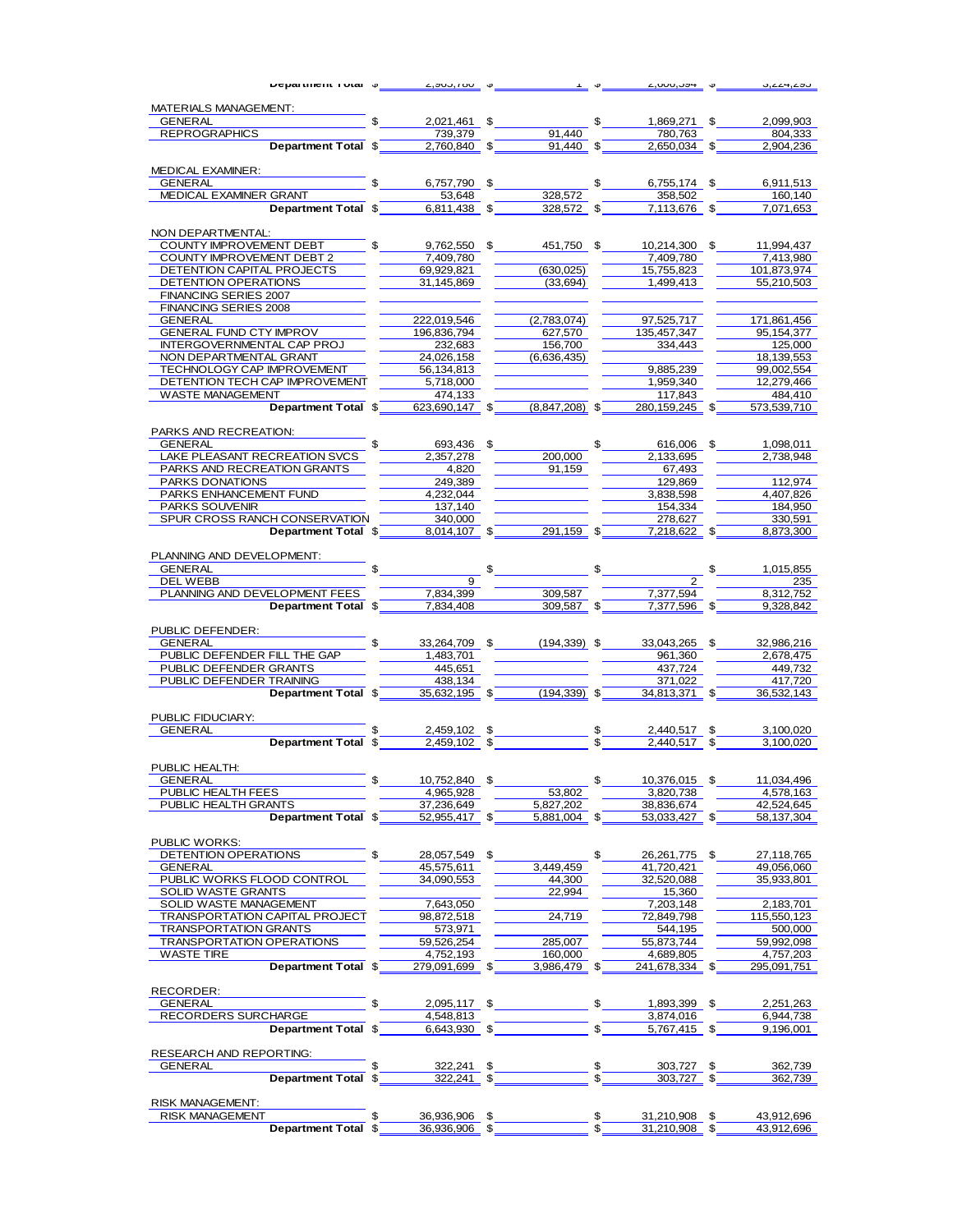| <b>υσμαιτικοπι ι υται</b> φ                           | 2,500,100                 |                            |              | 2,000,004                   | 0,444,400               |
|-------------------------------------------------------|---------------------------|----------------------------|--------------|-----------------------------|-------------------------|
| MATERIALS MANAGEMENT:                                 |                           |                            |              |                             |                         |
| <b>GENERAL</b>                                        | 2,021,461 \$              |                            | \$           | 1,869,271 \$                | 2,099,903               |
| <b>REPROGRAPHICS</b>                                  | 739.379                   | 91.440                     |              | 780,763                     | 804.333                 |
| Department Total \$                                   | 2,760,840 \$              | 91,440                     | \$           | 2,650,034 \$                | 2,904,236               |
|                                                       |                           |                            |              |                             |                         |
| MEDICAL EXAMINER:<br><b>GENERAL</b>                   | 6,757,790 \$              |                            |              |                             |                         |
| MEDICAL EXAMINER GRANT                                | 53,648                    | 328,572                    | $\mathbb{S}$ | 6,755,174 \$<br>358,502     | 6,911,513<br>160,140    |
| Department Total \$                                   | 6,811,438 \$              | 328,572 \$                 |              | 7,113,676 \$                | 7,071,653               |
|                                                       |                           |                            |              |                             |                         |
| NON DEPARTMENTAL:                                     |                           |                            |              |                             |                         |
| COUNTY IMPROVEMENT DEBT                               | 9,762,550 \$              | 451,750 \$                 |              | 10,214,300 \$               | 11,994,437              |
| COUNTY IMPROVEMENT DEBT 2                             | 7,409,780                 |                            |              | 7,409,780                   | 7,413,980               |
| DETENTION CAPITAL PROJECTS                            | 69,929,821                | (630, 025)                 |              | 15,755,823                  | 101,873,974             |
| DETENTION OPERATIONS<br><b>FINANCING SERIES 2007</b>  | 31,145,869                | (33, 694)                  |              | 1,499,413                   | 55,210,503              |
| FINANCING SERIES 2008                                 |                           |                            |              |                             |                         |
| GENERAL                                               | 222,019,546               | (2,783,074)                |              | 97,525,717                  | 171,861,456             |
| GENERAL FUND CTY IMPROV                               | 196,836,794               | 627,570                    |              | 135,457,347                 | 95,154,377              |
| INTERGOVERNMENTAL CAP PROJ                            | 232,683                   | 156,700                    |              | 334,443                     | 125,000                 |
| NON DEPARTMENTAL GRANT                                | 24,026,158                | (6,636,435)                |              |                             | 18,139,553              |
| TECHNOLOGY CAP IMPROVEMENT                            | 56,134,813                |                            |              | 9,885,239                   | 99,002,554              |
| DETENTION TECH CAP IMPROVEMENT                        | 5,718,000                 |                            |              | 1,959,340                   | 12,279,466              |
| <b>WASTE MANAGEMENT</b><br>Department Total \$        | 474,133<br>623.690.147 \$ | $(8,847,208)$ \$           |              | 117,843<br>280, 159, 245 \$ | 484.410<br>573,539,710  |
|                                                       |                           |                            |              |                             |                         |
| PARKS AND RECREATION:                                 |                           |                            |              |                             |                         |
| GENERAL                                               | 693,436 \$                |                            | \$           | 616,006 \$                  | 1,098,011               |
| LAKE PLEASANT RECREATION SVCS                         | 2,357,278                 | 200,000                    |              | 2,133,695                   | 2,738,948               |
| PARKS AND RECREATION GRANTS                           | 4,820                     | 91.159                     |              | 67,493                      |                         |
| PARKS DONATIONS                                       | 249,389                   |                            |              | 129,869                     | 112,974                 |
| PARKS ENHANCEMENT FUND                                | 4.232.044                 |                            |              | 3,838,598                   | 4,407,826               |
| PARKS SOUVENIR<br>SPUR CROSS RANCH CONSERVATION       | 137,140<br>340,000        |                            |              | 154,334<br>278,627          | 184.950<br>330,591      |
| Department Total \$                                   | $8,014,107$ \$            | 291,159 \$                 |              | 7,218,622 \$                | 8,873,300               |
|                                                       |                           |                            |              |                             |                         |
| PLANNING AND DEVELOPMENT:                             |                           |                            |              |                             |                         |
| GENERAL <b>Example 19 April 1997</b>                  |                           | $\sim$                     |              |                             | \$<br>1,015,855         |
| DEL WEBB                                              | 9                         |                            |              |                             | 235                     |
| PLANNING AND DEVELOPMENT FEES                         | 7,834,399                 | 309.587                    |              | 7,377,594                   | 8,312,752               |
| Department Total \$                                   | 7,834,408                 | 309,587 \$                 |              | 7,377,596 \$                | 9,328,842               |
| PUBLIC DEFENDER:                                      |                           |                            |              |                             |                         |
| GENERAL                                               |                           | 33,264,709 \$ (194,339) \$ |              | 33,043,265 \$               | 32,986,216              |
| PUBLIC DEFENDER FILL THE GAP                          | 1,483,701                 |                            |              | 961,360                     | 2,678,475               |
| PUBLIC DEFENDER GRANTS                                | 445,651                   |                            |              | 437.724                     | 449,732                 |
| PUBLIC DEFENDER TRAINING                              | $-438,134$                |                            |              | 371,022                     | 417,720                 |
| Department Total \$                                   | $35,632,195$ \$           | $(194.339)$ \$             |              | 34.813.371 \$               | 36,532,143              |
|                                                       |                           |                            |              |                             |                         |
| PUBLIC FIDUCIARY:                                     | 2,459,102 \$              |                            |              | 2,440,517                   |                         |
| GENERAL<br><b>Department Total \$</b>                 | 2.459.102                 | \$                         | \$           | 2.440.517                   | 3,100,020<br>3,100,020  |
|                                                       |                           |                            |              |                             |                         |
| PUBLIC HEALTH:                                        |                           |                            |              |                             |                         |
| GENERAL                                               | 10,752,840                | \$                         | \$           | 10,376,015                  | 11,034,496              |
| PUBLIC HEALTH FEES                                    | 4,965,928                 | 53,802                     |              | 3,820,738                   | 4,578,163               |
| PUBLIC HEALTH GRANTS                                  | 37,236,649                | 5,827,202                  |              | 38,836,674                  | 42,524,645              |
| Department Total \$                                   | 52,955,417 \$             | 5,881,004 \$               |              | 53,033,427 \$               | 58,137,304              |
| PUBLIC WORKS:                                         |                           |                            |              |                             |                         |
| DETENTION OPERATIONS                                  | \$<br>28,057,549 \$       |                            | \$           | 26,261,775 \$               | 27.118.765              |
| <b>GENERAL</b>                                        | 45,575,611                | 3,449,459                  |              | 41,720,421                  | 49,056,060              |
| PUBLIC WORKS FLOOD CONTROL                            | 34,090,553                | 44,300                     |              | 32,520,088                  | 35,933,801              |
| SOLID WASTE GRANTS                                    |                           | 22,994                     |              | 15,360                      |                         |
| SOLID WASTE MANAGEMENT                                | 7,643,050                 |                            |              | 7,203,148                   | 2,183,701               |
| TRANSPORTATION CAPITAL PROJECT                        | 98,872,518                | 24,719                     |              | 72,849,798                  | 115,550,123             |
| <b>TRANSPORTATION GRANTS</b>                          | 573,971                   |                            |              | 544,195                     | 500,000                 |
| <b>TRANSPORTATION OPERATIONS</b><br><b>WASTE TIRE</b> | 59,526,254<br>4,752,193   | 285,007<br>160,000         |              | 55,873,744<br>4,689,805     | 59,992,098<br>4,757,203 |
| Department Total \$                                   | 279.091.699 \$            | 3,986,479 \$               |              | 241,678,334 \$              | 295,091,751             |
|                                                       |                           |                            |              |                             |                         |
| RECORDER:                                             |                           |                            |              |                             |                         |
| GENERAL                                               | \$<br>2,095,117 \$        |                            | \$           | 1,893,399 \$                | 2,251,263               |
| RECORDERS SURCHARGE                                   | 4,548,813                 |                            |              | 3,874,016                   | 6,944,738               |
| Department Total \$                                   | 6,643,930 \$              |                            | \$           | 5,767,415 \$                | 9,196,001               |
| RESEARCH AND REPORTING:                               |                           |                            |              |                             |                         |
| <b>GENERAL</b>                                        | 322,241 \$<br>\$          |                            | \$           | 303,727 \$                  | 362,739                 |
| Department Total \$                                   | 322,241 \$                |                            | \$           | 303,727                     | \$<br>362,739           |
|                                                       |                           |                            |              |                             |                         |
| <b>RISK MANAGEMENT:</b>                               |                           |                            |              |                             |                         |
| <b>RISK MANAGEMENT</b>                                | \$<br>36,936,906 \$       |                            | \$           | 31,210,908 \$               | 43,912,696              |
| Department Total \$                                   | 36,936,906 \$             |                            |              | 31,210,908 \$               | 43,912,696              |